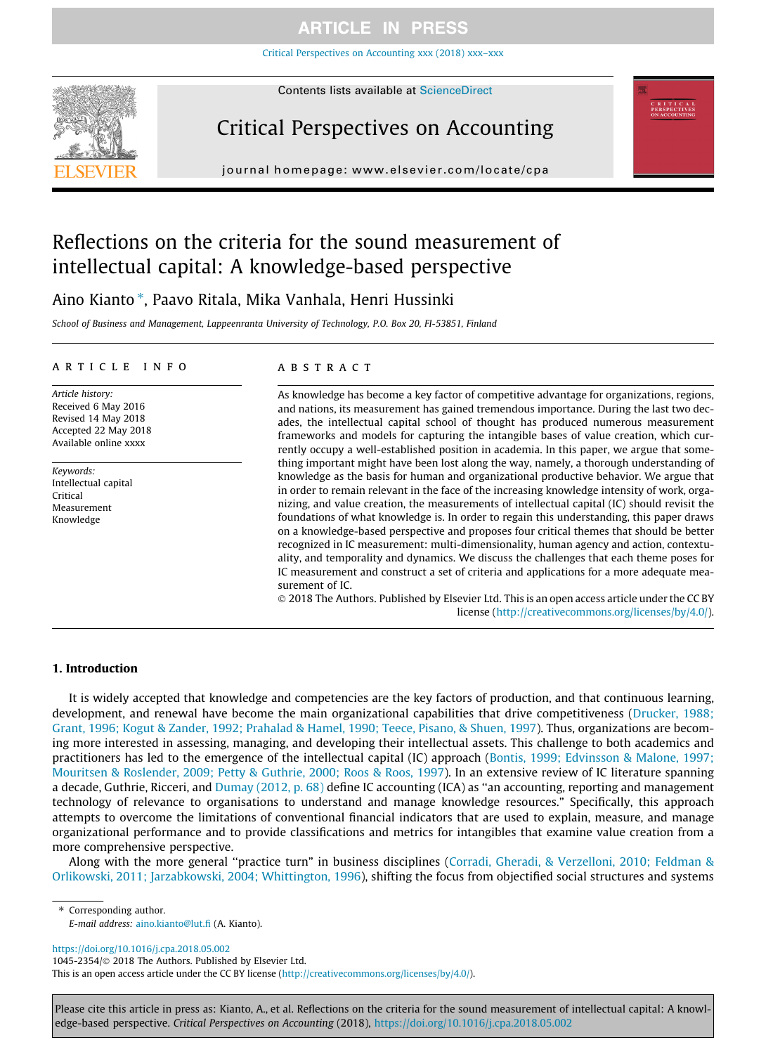[Critical Perspectives on Accounting xxx \(2018\) xxx–xxx](https://doi.org/10.1016/j.cpa.2018.05.002)



# Critical Perspectives on Accounting

journal homepage: [www.elsevier.com/locate/cpa](http://www.elsevier.com/locate/cpa)

# Reflections on the criteria for the sound measurement of intellectual capital: A knowledge-based perspective

### Aino Kianto \*, Paavo Ritala, Mika Vanhala, Henri Hussinki

School of Business and Management, Lappeenranta University of Technology, P.O. Box 20, FI-53851, Finland

#### article info

Article history: Received 6 May 2016 Revised 14 May 2018 Accepted 22 May 2018 Available online xxxx

Keywords: Intellectual capital Critical Measurement Knowledge

#### ABSTRACT

As knowledge has become a key factor of competitive advantage for organizations, regions, and nations, its measurement has gained tremendous importance. During the last two decades, the intellectual capital school of thought has produced numerous measurement frameworks and models for capturing the intangible bases of value creation, which currently occupy a well-established position in academia. In this paper, we argue that something important might have been lost along the way, namely, a thorough understanding of knowledge as the basis for human and organizational productive behavior. We argue that in order to remain relevant in the face of the increasing knowledge intensity of work, organizing, and value creation, the measurements of intellectual capital (IC) should revisit the foundations of what knowledge is. In order to regain this understanding, this paper draws on a knowledge-based perspective and proposes four critical themes that should be better recognized in IC measurement: multi-dimensionality, human agency and action, contextuality, and temporality and dynamics. We discuss the challenges that each theme poses for IC measurement and construct a set of criteria and applications for a more adequate measurement of IC.

 2018 The Authors. Published by Elsevier Ltd. This is an open access article under the CC BY license ([http://creativecommons.org/licenses/by/4.0/\)](http://creativecommons.org/licenses/by/4.0/).

#### 1. Introduction

It is widely accepted that knowledge and competencies are the key factors of production, and that continuous learning, development, and renewal have become the main organizational capabilities that drive competitiveness ([Drucker, 1988;](#page-12-0) [Grant, 1996; Kogut & Zander, 1992; Prahalad & Hamel, 1990; Teece, Pisano, & Shuen, 1997\)](#page-12-0). Thus, organizations are becoming more interested in assessing, managing, and developing their intellectual assets. This challenge to both academics and practitioners has led to the emergence of the intellectual capital (IC) approach ([Bontis, 1999; Edvinsson & Malone, 1997;](#page-12-0) [Mouritsen & Roslender, 2009; Petty & Guthrie, 2000; Roos & Roos, 1997](#page-12-0)). In an extensive review of IC literature spanning a decade, Guthrie, Ricceri, and [Dumay \(2012, p. 68\)](#page-12-0) define IC accounting (ICA) as ''an accounting, reporting and management technology of relevance to organisations to understand and manage knowledge resources." Specifically, this approach attempts to overcome the limitations of conventional financial indicators that are used to explain, measure, and manage organizational performance and to provide classifications and metrics for intangibles that examine value creation from a more comprehensive perspective.

Along with the more general ''practice turn" in business disciplines ([Corradi, Gheradi, & Verzelloni, 2010; Feldman &](#page-12-0) [Orlikowski, 2011; Jarzabkowski, 2004; Whittington, 1996](#page-12-0)), shifting the focus from objectified social structures and systems

⇑ Corresponding author. E-mail address: [aino.kianto@lut.fi](mailto:aino.kianto@lut.fi) (A. Kianto).

<https://doi.org/10.1016/j.cpa.2018.05.002>

1045-2354/© 2018 The Authors. Published by Elsevier Ltd. This is an open access article under the CC BY license ([http://creativecommons.org/licenses/by/4.0/\)](http://creativecommons.org/licenses/by/4.0/).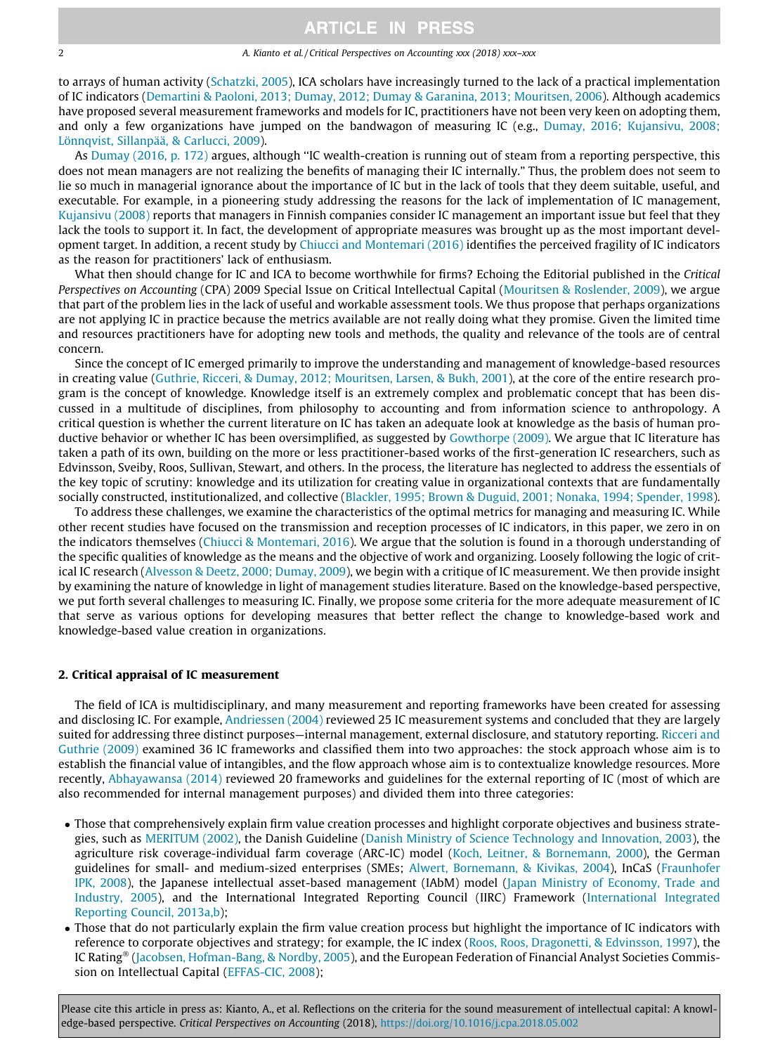#### 2 **A. Kianto et al. / Critical Perspectives on Accounting xxx (2018) xxx–xxx**

to arrays of human activity ([Schatzki, 2005](#page-13-0)), ICA scholars have increasingly turned to the lack of a practical implementation of IC indicators [\(Demartini & Paoloni, 2013; Dumay, 2012; Dumay & Garanina, 2013; Mouritsen, 2006](#page-12-0)). Although academics have proposed several measurement frameworks and models for IC, practitioners have not been very keen on adopting them, and only a few organizations have jumped on the bandwagon of measuring IC (e.g., [Dumay, 2016; Kujansivu, 2008;](#page-12-0) [Lönnqvist, Sillanpää, & Carlucci, 2009](#page-12-0)).

As [Dumay \(2016, p. 172\)](#page-12-0) argues, although ''IC wealth-creation is running out of steam from a reporting perspective, this does not mean managers are not realizing the benefits of managing their IC internally." Thus, the problem does not seem to lie so much in managerial ignorance about the importance of IC but in the lack of tools that they deem suitable, useful, and executable. For example, in a pioneering study addressing the reasons for the lack of implementation of IC management, [Kujansivu \(2008\)](#page-13-0) reports that managers in Finnish companies consider IC management an important issue but feel that they lack the tools to support it. In fact, the development of appropriate measures was brought up as the most important development target. In addition, a recent study by [Chiucci and Montemari \(2016\)](#page-12-0) identifies the perceived fragility of IC indicators as the reason for practitioners' lack of enthusiasm.

What then should change for IC and ICA to become worthwhile for firms? Echoing the Editorial published in the Critical Perspectives on Accounting (CPA) 2009 Special Issue on Critical Intellectual Capital ([Mouritsen & Roslender, 2009](#page-13-0)), we argue that part of the problem lies in the lack of useful and workable assessment tools. We thus propose that perhaps organizations are not applying IC in practice because the metrics available are not really doing what they promise. Given the limited time and resources practitioners have for adopting new tools and methods, the quality and relevance of the tools are of central concern.

Since the concept of IC emerged primarily to improve the understanding and management of knowledge-based resources in creating value ([Guthrie, Ricceri, & Dumay, 2012; Mouritsen, Larsen, & Bukh, 2001](#page-12-0)), at the core of the entire research program is the concept of knowledge. Knowledge itself is an extremely complex and problematic concept that has been discussed in a multitude of disciplines, from philosophy to accounting and from information science to anthropology. A critical question is whether the current literature on IC has taken an adequate look at knowledge as the basis of human productive behavior or whether IC has been oversimplified, as suggested by [Gowthorpe \(2009\)](#page-12-0). We argue that IC literature has taken a path of its own, building on the more or less practitioner-based works of the first-generation IC researchers, such as Edvinsson, Sveiby, Roos, Sullivan, Stewart, and others. In the process, the literature has neglected to address the essentials of the key topic of scrutiny: knowledge and its utilization for creating value in organizational contexts that are fundamentally socially constructed, institutionalized, and collective [\(Blackler, 1995; Brown & Duguid, 2001; Nonaka, 1994; Spender, 1998](#page-12-0)).

To address these challenges, we examine the characteristics of the optimal metrics for managing and measuring IC. While other recent studies have focused on the transmission and reception processes of IC indicators, in this paper, we zero in on the indicators themselves [\(Chiucci & Montemari, 2016](#page-12-0)). We argue that the solution is found in a thorough understanding of the specific qualities of knowledge as the means and the objective of work and organizing. Loosely following the logic of critical IC research [\(Alvesson & Deetz, 2000; Dumay, 2009\)](#page-11-0), we begin with a critique of IC measurement. We then provide insight by examining the nature of knowledge in light of management studies literature. Based on the knowledge-based perspective, we put forth several challenges to measuring IC. Finally, we propose some criteria for the more adequate measurement of IC that serve as various options for developing measures that better reflect the change to knowledge-based work and knowledge-based value creation in organizations.

#### 2. Critical appraisal of IC measurement

The field of ICA is multidisciplinary, and many measurement and reporting frameworks have been created for assessing and disclosing IC. For example, [Andriessen \(2004\)](#page-12-0) reviewed 25 IC measurement systems and concluded that they are largely suited for addressing three distinct purposes—internal management, external disclosure, and statutory reporting. [Ricceri and](#page-13-0) [Guthrie \(2009\)](#page-13-0) examined 36 IC frameworks and classified them into two approaches: the stock approach whose aim is to establish the financial value of intangibles, and the flow approach whose aim is to contextualize knowledge resources. More recently, [Abhayawansa \(2014\)](#page-11-0) reviewed 20 frameworks and guidelines for the external reporting of IC (most of which are also recommended for internal management purposes) and divided them into three categories:

- Those that comprehensively explain firm value creation processes and highlight corporate objectives and business strategies, such as [MERITUM \(2002\),](#page-13-0) the Danish Guideline ([Danish Ministry of Science Technology and Innovation, 2003\)](#page-12-0), the agriculture risk coverage-individual farm coverage (ARC-IC) model [\(Koch, Leitner, & Bornemann, 2000\)](#page-13-0), the German guidelines for small- and medium-sized enterprises (SMEs; [Alwert, Bornemann, & Kivikas, 2004\)](#page-12-0), InCaS ([Fraunhofer](#page-12-0) [IPK, 2008](#page-12-0)), the Japanese intellectual asset-based management (IAbM) model [\(Japan Ministry of Economy, Trade and](#page-12-0) [Industry, 2005](#page-12-0)), and the International Integrated Reporting Council (IIRC) Framework ([International Integrated](#page-12-0) [Reporting Council, 2013a,b\)](#page-12-0);
- Those that do not particularly explain the firm value creation process but highlight the importance of IC indicators with reference to corporate objectives and strategy; for example, the IC index [\(Roos, Roos, Dragonetti, & Edvinsson, 1997](#page-13-0)), the IC Rating<sup>®</sup> ([Jacobsen, Hofman-Bang, & Nordby, 2005\)](#page-12-0), and the European Federation of Financial Analyst Societies Commission on Intellectual Capital [\(EFFAS-CIC, 2008](#page-12-0));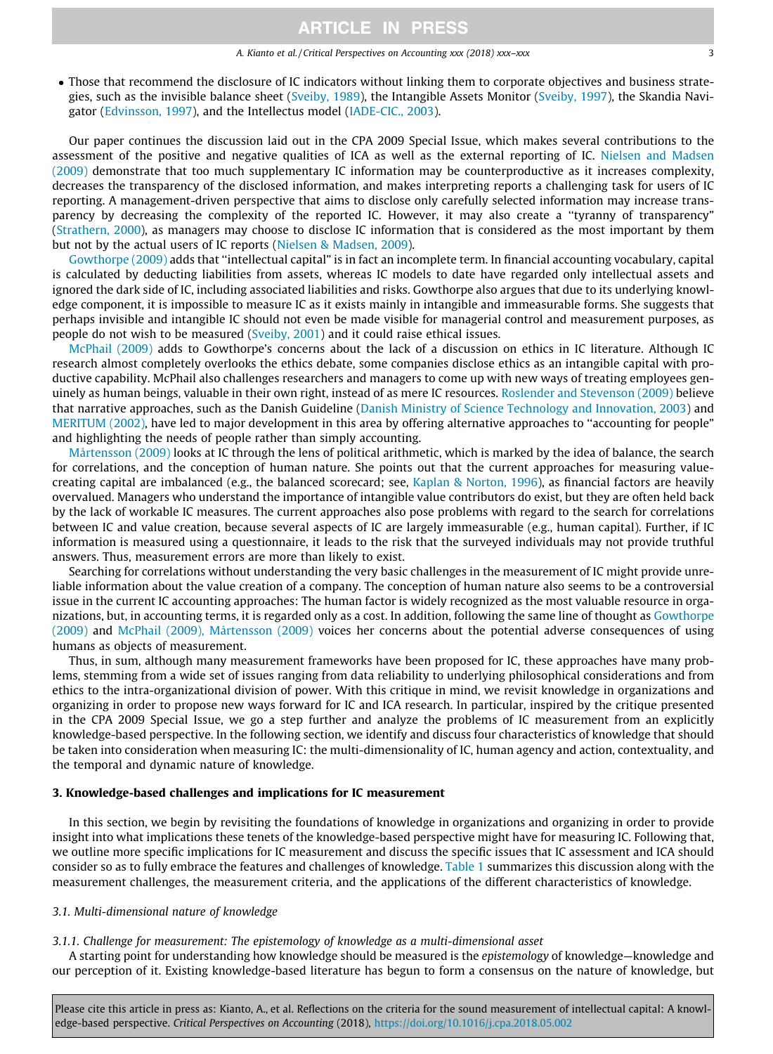Those that recommend the disclosure of IC indicators without linking them to corporate objectives and business strategies, such as the invisible balance sheet [\(Sveiby, 1989\)](#page-13-0), the Intangible Assets Monitor ([Sveiby, 1997\)](#page-13-0), the Skandia Navigator ([Edvinsson, 1997](#page-12-0)), and the Intellectus model [\(IADE-CIC., 2003\)](#page-12-0).

Our paper continues the discussion laid out in the CPA 2009 Special Issue, which makes several contributions to the assessment of the positive and negative qualities of ICA as well as the external reporting of IC. [Nielsen and Madsen](#page-13-0) [\(2009\)](#page-13-0) demonstrate that too much supplementary IC information may be counterproductive as it increases complexity, decreases the transparency of the disclosed information, and makes interpreting reports a challenging task for users of IC reporting. A management-driven perspective that aims to disclose only carefully selected information may increase transparency by decreasing the complexity of the reported IC. However, it may also create a ''tyranny of transparency" ([Strathern, 2000](#page-13-0)), as managers may choose to disclose IC information that is considered as the most important by them but not by the actual users of IC reports [\(Nielsen & Madsen, 2009](#page-13-0)).

[Gowthorpe \(2009\)](#page-12-0) adds that ''intellectual capital" is in fact an incomplete term. In financial accounting vocabulary, capital is calculated by deducting liabilities from assets, whereas IC models to date have regarded only intellectual assets and ignored the dark side of IC, including associated liabilities and risks. Gowthorpe also argues that due to its underlying knowledge component, it is impossible to measure IC as it exists mainly in intangible and immeasurable forms. She suggests that perhaps invisible and intangible IC should not even be made visible for managerial control and measurement purposes, as people do not wish to be measured ([Sveiby, 2001\)](#page-13-0) and it could raise ethical issues.

[McPhail \(2009\)](#page-13-0) adds to Gowthorpe's concerns about the lack of a discussion on ethics in IC literature. Although IC research almost completely overlooks the ethics debate, some companies disclose ethics as an intangible capital with productive capability. McPhail also challenges researchers and managers to come up with new ways of treating employees genuinely as human beings, valuable in their own right, instead of as mere IC resources. [Roslender and Stevenson \(2009\)](#page-13-0) believe that narrative approaches, such as the Danish Guideline [\(Danish Ministry of Science Technology and Innovation, 2003\)](#page-12-0) and [MERITUM \(2002\)](#page-13-0), have led to major development in this area by offering alternative approaches to "accounting for people" and highlighting the needs of people rather than simply accounting.

[Mårtensson \(2009\)](#page-13-0) looks at IC through the lens of political arithmetic, which is marked by the idea of balance, the search for correlations, and the conception of human nature. She points out that the current approaches for measuring valuecreating capital are imbalanced (e.g., the balanced scorecard; see, [Kaplan & Norton, 1996\)](#page-13-0), as financial factors are heavily overvalued. Managers who understand the importance of intangible value contributors do exist, but they are often held back by the lack of workable IC measures. The current approaches also pose problems with regard to the search for correlations between IC and value creation, because several aspects of IC are largely immeasurable (e.g., human capital). Further, if IC information is measured using a questionnaire, it leads to the risk that the surveyed individuals may not provide truthful answers. Thus, measurement errors are more than likely to exist.

Searching for correlations without understanding the very basic challenges in the measurement of IC might provide unreliable information about the value creation of a company. The conception of human nature also seems to be a controversial issue in the current IC accounting approaches: The human factor is widely recognized as the most valuable resource in organizations, but, in accounting terms, it is regarded only as a cost. In addition, following the same line of thought as [Gowthorpe](#page-12-0) [\(2009\)](#page-12-0) and [McPhail \(2009\), Mårtensson \(2009\)](#page-13-0) voices her concerns about the potential adverse consequences of using humans as objects of measurement.

Thus, in sum, although many measurement frameworks have been proposed for IC, these approaches have many problems, stemming from a wide set of issues ranging from data reliability to underlying philosophical considerations and from ethics to the intra-organizational division of power. With this critique in mind, we revisit knowledge in organizations and organizing in order to propose new ways forward for IC and ICA research. In particular, inspired by the critique presented in the CPA 2009 Special Issue, we go a step further and analyze the problems of IC measurement from an explicitly knowledge-based perspective. In the following section, we identify and discuss four characteristics of knowledge that should be taken into consideration when measuring IC: the multi-dimensionality of IC, human agency and action, contextuality, and the temporal and dynamic nature of knowledge.

#### 3. Knowledge-based challenges and implications for IC measurement

In this section, we begin by revisiting the foundations of knowledge in organizations and organizing in order to provide insight into what implications these tenets of the knowledge-based perspective might have for measuring IC. Following that, we outline more specific implications for IC measurement and discuss the specific issues that IC assessment and ICA should consider so as to fully embrace the features and challenges of knowledge. [Table 1](#page-3-0) summarizes this discussion along with the measurement challenges, the measurement criteria, and the applications of the different characteristics of knowledge.

#### 3.1. Multi-dimensional nature of knowledge

#### 3.1.1. Challenge for measurement: The epistemology of knowledge as a multi-dimensional asset

A starting point for understanding how knowledge should be measured is the epistemology of knowledge—knowledge and our perception of it. Existing knowledge-based literature has begun to form a consensus on the nature of knowledge, but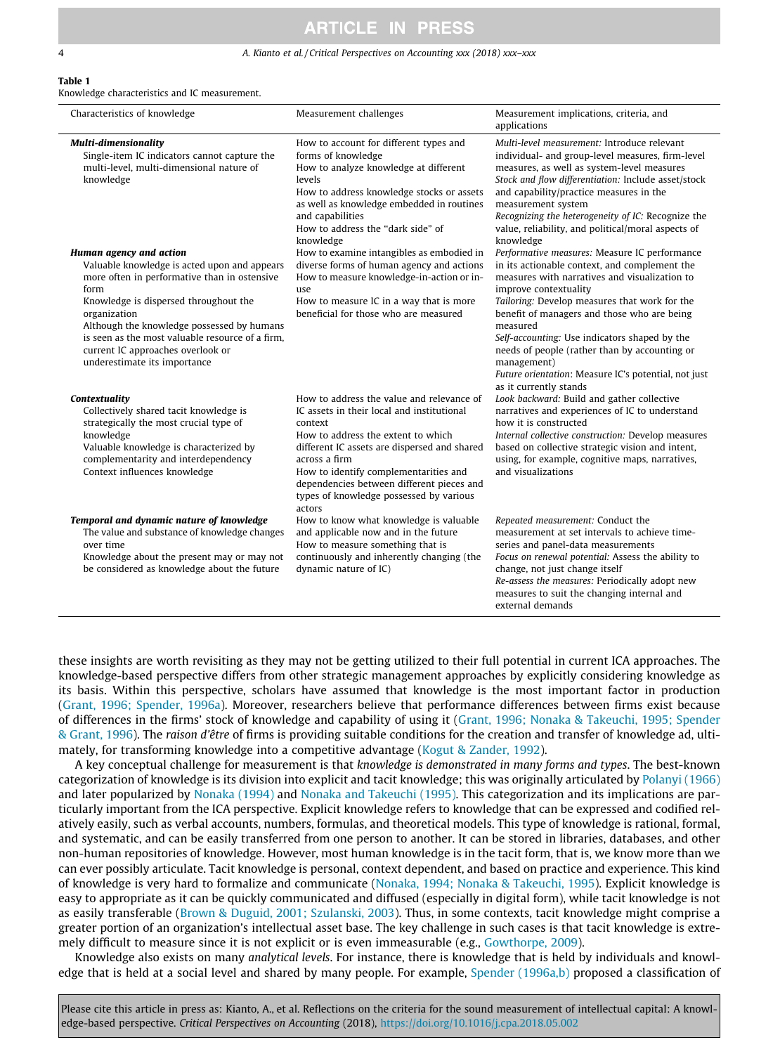#### <span id="page-3-0"></span>4 A. Kianto et al. / Critical Perspectives on Accounting xxx (2018) xxx–xxx

### Table 1

Knowledge characteristics and IC measurement.

| Characteristics of knowledge                                                                                                                                                                                                                                                                                                                                    | Measurement challenges                                                                                                                                                                                                                                                                                                                               | Measurement implications, criteria, and<br>applications                                                                                                                                                                                                                                                                                                                                                                                                                                 |
|-----------------------------------------------------------------------------------------------------------------------------------------------------------------------------------------------------------------------------------------------------------------------------------------------------------------------------------------------------------------|------------------------------------------------------------------------------------------------------------------------------------------------------------------------------------------------------------------------------------------------------------------------------------------------------------------------------------------------------|-----------------------------------------------------------------------------------------------------------------------------------------------------------------------------------------------------------------------------------------------------------------------------------------------------------------------------------------------------------------------------------------------------------------------------------------------------------------------------------------|
| <b>Multi-dimensionality</b><br>Single-item IC indicators cannot capture the<br>multi-level, multi-dimensional nature of<br>knowledge                                                                                                                                                                                                                            | How to account for different types and<br>forms of knowledge<br>How to analyze knowledge at different<br>levels<br>How to address knowledge stocks or assets<br>as well as knowledge embedded in routines<br>and capabilities<br>How to address the "dark side" of<br>knowledge                                                                      | Multi-level measurement: Introduce relevant<br>individual- and group-level measures, firm-level<br>measures, as well as system-level measures<br>Stock and flow differentiation: Include asset/stock<br>and capability/practice measures in the<br>measurement system<br>Recognizing the heterogeneity of IC: Recognize the<br>value, reliability, and political/moral aspects of<br>knowledge                                                                                          |
| Human agency and action<br>Valuable knowledge is acted upon and appears<br>more often in performative than in ostensive<br>form<br>Knowledge is dispersed throughout the<br>organization<br>Although the knowledge possessed by humans<br>is seen as the most valuable resource of a firm,<br>current IC approaches overlook or<br>underestimate its importance | How to examine intangibles as embodied in<br>diverse forms of human agency and actions<br>How to measure knowledge-in-action or in-<br>use<br>How to measure IC in a way that is more<br>beneficial for those who are measured                                                                                                                       | Performative measures: Measure IC performance<br>in its actionable context, and complement the<br>measures with narratives and visualization to<br>improve contextuality<br>Tailoring: Develop measures that work for the<br>benefit of managers and those who are being<br>measured<br>Self-accounting: Use indicators shaped by the<br>needs of people (rather than by accounting or<br>management)<br>Future orientation: Measure IC's potential, not just<br>as it currently stands |
| Contextuality<br>Collectively shared tacit knowledge is<br>strategically the most crucial type of<br>knowledge<br>Valuable knowledge is characterized by<br>complementarity and interdependency<br>Context influences knowledge                                                                                                                                 | How to address the value and relevance of<br>IC assets in their local and institutional<br>context<br>How to address the extent to which<br>different IC assets are dispersed and shared<br>across a firm<br>How to identify complementarities and<br>dependencies between different pieces and<br>types of knowledge possessed by various<br>actors | Look backward: Build and gather collective<br>narratives and experiences of IC to understand<br>how it is constructed<br>Internal collective construction: Develop measures<br>based on collective strategic vision and intent,<br>using, for example, cognitive maps, narratives,<br>and visualizations                                                                                                                                                                                |
| Temporal and dynamic nature of knowledge<br>The value and substance of knowledge changes<br>over time<br>Knowledge about the present may or may not<br>be considered as knowledge about the future                                                                                                                                                              | How to know what knowledge is valuable<br>and applicable now and in the future<br>How to measure something that is<br>continuously and inherently changing (the<br>dynamic nature of IC)                                                                                                                                                             | Repeated measurement: Conduct the<br>measurement at set intervals to achieve time-<br>series and panel-data measurements<br>Focus on renewal potential: Assess the ability to<br>change, not just change itself<br>Re-assess the measures: Periodically adopt new<br>measures to suit the changing internal and<br>external demands                                                                                                                                                     |

these insights are worth revisiting as they may not be getting utilized to their full potential in current ICA approaches. The knowledge-based perspective differs from other strategic management approaches by explicitly considering knowledge as its basis. Within this perspective, scholars have assumed that knowledge is the most important factor in production [\(Grant, 1996; Spender, 1996a](#page-12-0)). Moreover, researchers believe that performance differences between firms exist because of differences in the firms' stock of knowledge and capability of using it ([Grant, 1996; Nonaka & Takeuchi, 1995; Spender](#page-12-0) [& Grant, 1996\)](#page-12-0). The raison d'être of firms is providing suitable conditions for the creation and transfer of knowledge ad, ultimately, for transforming knowledge into a competitive advantage ([Kogut & Zander, 1992\)](#page-13-0).

A key conceptual challenge for measurement is that knowledge is demonstrated in many forms and types. The best-known categorization of knowledge is its division into explicit and tacit knowledge; this was originally articulated by [Polanyi \(1966\)](#page-13-0) and later popularized by [Nonaka \(1994\)](#page-13-0) and [Nonaka and Takeuchi \(1995\)](#page-13-0). This categorization and its implications are particularly important from the ICA perspective. Explicit knowledge refers to knowledge that can be expressed and codified relatively easily, such as verbal accounts, numbers, formulas, and theoretical models. This type of knowledge is rational, formal, and systematic, and can be easily transferred from one person to another. It can be stored in libraries, databases, and other non-human repositories of knowledge. However, most human knowledge is in the tacit form, that is, we know more than we can ever possibly articulate. Tacit knowledge is personal, context dependent, and based on practice and experience. This kind of knowledge is very hard to formalize and communicate ([Nonaka, 1994; Nonaka & Takeuchi, 1995](#page-13-0)). Explicit knowledge is easy to appropriate as it can be quickly communicated and diffused (especially in digital form), while tacit knowledge is not as easily transferable ([Brown & Duguid, 2001; Szulanski, 2003](#page-12-0)). Thus, in some contexts, tacit knowledge might comprise a greater portion of an organization's intellectual asset base. The key challenge in such cases is that tacit knowledge is extremely difficult to measure since it is not explicit or is even immeasurable (e.g., [Gowthorpe, 2009\)](#page-12-0).

Knowledge also exists on many analytical levels. For instance, there is knowledge that is held by individuals and knowl-edge that is held at a social level and shared by many people. For example, [Spender \(1996a,b\)](#page-13-0) proposed a classification of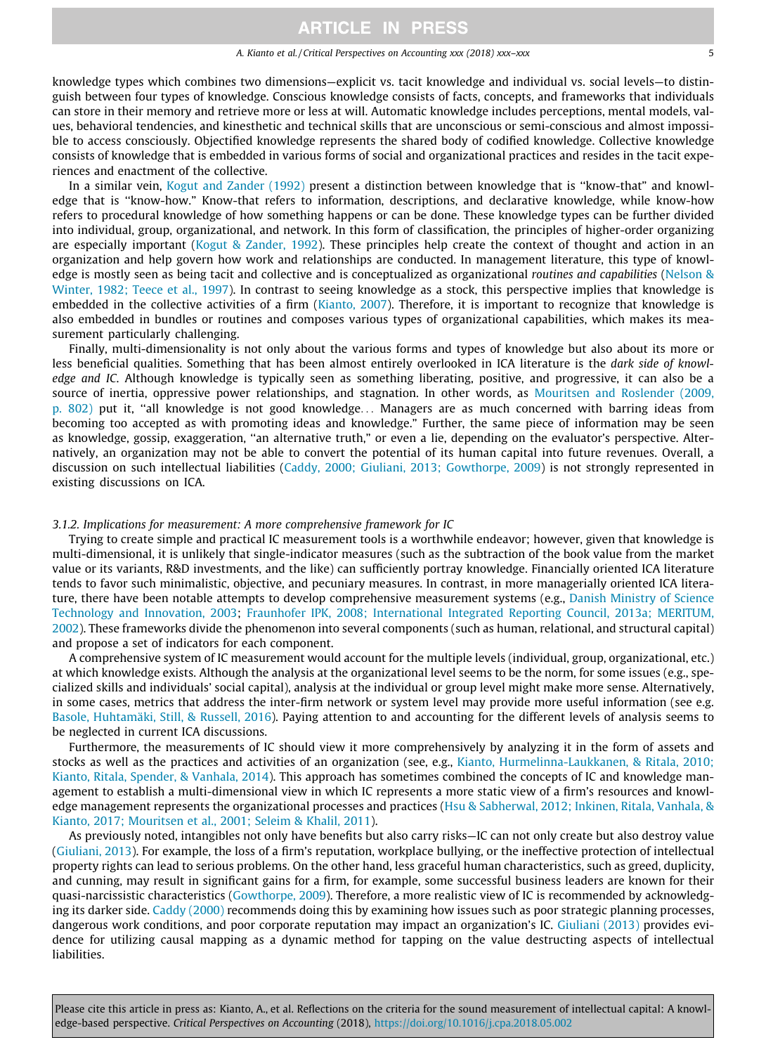knowledge types which combines two dimensions—explicit vs. tacit knowledge and individual vs. social levels—to distinguish between four types of knowledge. Conscious knowledge consists of facts, concepts, and frameworks that individuals can store in their memory and retrieve more or less at will. Automatic knowledge includes perceptions, mental models, values, behavioral tendencies, and kinesthetic and technical skills that are unconscious or semi-conscious and almost impossible to access consciously. Objectified knowledge represents the shared body of codified knowledge. Collective knowledge consists of knowledge that is embedded in various forms of social and organizational practices and resides in the tacit experiences and enactment of the collective.

In a similar vein, [Kogut and Zander \(1992\)](#page-13-0) present a distinction between knowledge that is ''know-that" and knowledge that is ''know-how." Know-that refers to information, descriptions, and declarative knowledge, while know-how refers to procedural knowledge of how something happens or can be done. These knowledge types can be further divided into individual, group, organizational, and network. In this form of classification, the principles of higher-order organizing are especially important ([Kogut & Zander, 1992](#page-13-0)). These principles help create the context of thought and action in an organization and help govern how work and relationships are conducted. In management literature, this type of knowledge is mostly seen as being tacit and collective and is conceptualized as organizational routines and capabilities ([Nelson &](#page-13-0) [Winter, 1982; Teece et al., 1997](#page-13-0)). In contrast to seeing knowledge as a stock, this perspective implies that knowledge is embedded in the collective activities of a firm [\(Kianto, 2007\)](#page-13-0). Therefore, it is important to recognize that knowledge is also embedded in bundles or routines and composes various types of organizational capabilities, which makes its measurement particularly challenging.

Finally, multi-dimensionality is not only about the various forms and types of knowledge but also about its more or less beneficial qualities. Something that has been almost entirely overlooked in ICA literature is the dark side of knowledge and IC. Although knowledge is typically seen as something liberating, positive, and progressive, it can also be a source of inertia, oppressive power relationships, and stagnation. In other words, as [Mouritsen and Roslender \(2009,](#page-13-0) [p. 802\)](#page-13-0) put it, "all knowledge is not good knowledge... Managers are as much concerned with barring ideas from becoming too accepted as with promoting ideas and knowledge." Further, the same piece of information may be seen as knowledge, gossip, exaggeration, ''an alternative truth," or even a lie, depending on the evaluator's perspective. Alternatively, an organization may not be able to convert the potential of its human capital into future revenues. Overall, a discussion on such intellectual liabilities [\(Caddy, 2000; Giuliani, 2013; Gowthorpe, 2009](#page-12-0)) is not strongly represented in existing discussions on ICA.

#### 3.1.2. Implications for measurement: A more comprehensive framework for IC

Trying to create simple and practical IC measurement tools is a worthwhile endeavor; however, given that knowledge is multi-dimensional, it is unlikely that single-indicator measures (such as the subtraction of the book value from the market value or its variants, R&D investments, and the like) can sufficiently portray knowledge. Financially oriented ICA literature tends to favor such minimalistic, objective, and pecuniary measures. In contrast, in more managerially oriented ICA literature, there have been notable attempts to develop comprehensive measurement systems (e.g., [Danish Ministry of Science](#page-12-0) [Technology and Innovation, 2003](#page-12-0); [Fraunhofer IPK, 2008; International Integrated Reporting Council, 2013a; MERITUM,](#page-12-0) [2002\)](#page-12-0). These frameworks divide the phenomenon into several components (such as human, relational, and structural capital) and propose a set of indicators for each component.

A comprehensive system of IC measurement would account for the multiple levels (individual, group, organizational, etc.) at which knowledge exists. Although the analysis at the organizational level seems to be the norm, for some issues (e.g., specialized skills and individuals' social capital), analysis at the individual or group level might make more sense. Alternatively, in some cases, metrics that address the inter-firm network or system level may provide more useful information (see e.g. [Basole, Huhtamäki, Still, & Russell, 2016](#page-12-0)). Paying attention to and accounting for the different levels of analysis seems to be neglected in current ICA discussions.

Furthermore, the measurements of IC should view it more comprehensively by analyzing it in the form of assets and stocks as well as the practices and activities of an organization (see, e.g., [Kianto, Hurmelinna-Laukkanen, & Ritala, 2010;](#page-13-0) [Kianto, Ritala, Spender, & Vanhala, 2014](#page-13-0)). This approach has sometimes combined the concepts of IC and knowledge management to establish a multi-dimensional view in which IC represents a more static view of a firm's resources and knowledge management represents the organizational processes and practices [\(Hsu & Sabherwal, 2012; Inkinen, Ritala, Vanhala, &](#page-12-0) [Kianto, 2017; Mouritsen et al., 2001; Seleim & Khalil, 2011](#page-12-0)).

As previously noted, intangibles not only have benefits but also carry risks—IC can not only create but also destroy value ([Giuliani, 2013\)](#page-12-0). For example, the loss of a firm's reputation, workplace bullying, or the ineffective protection of intellectual property rights can lead to serious problems. On the other hand, less graceful human characteristics, such as greed, duplicity, and cunning, may result in significant gains for a firm, for example, some successful business leaders are known for their quasi-narcissistic characteristics [\(Gowthorpe, 2009\)](#page-12-0). Therefore, a more realistic view of IC is recommended by acknowledging its darker side. [Caddy \(2000\)](#page-12-0) recommends doing this by examining how issues such as poor strategic planning processes, dangerous work conditions, and poor corporate reputation may impact an organization's IC. [Giuliani \(2013\)](#page-12-0) provides evidence for utilizing causal mapping as a dynamic method for tapping on the value destructing aspects of intellectual liabilities.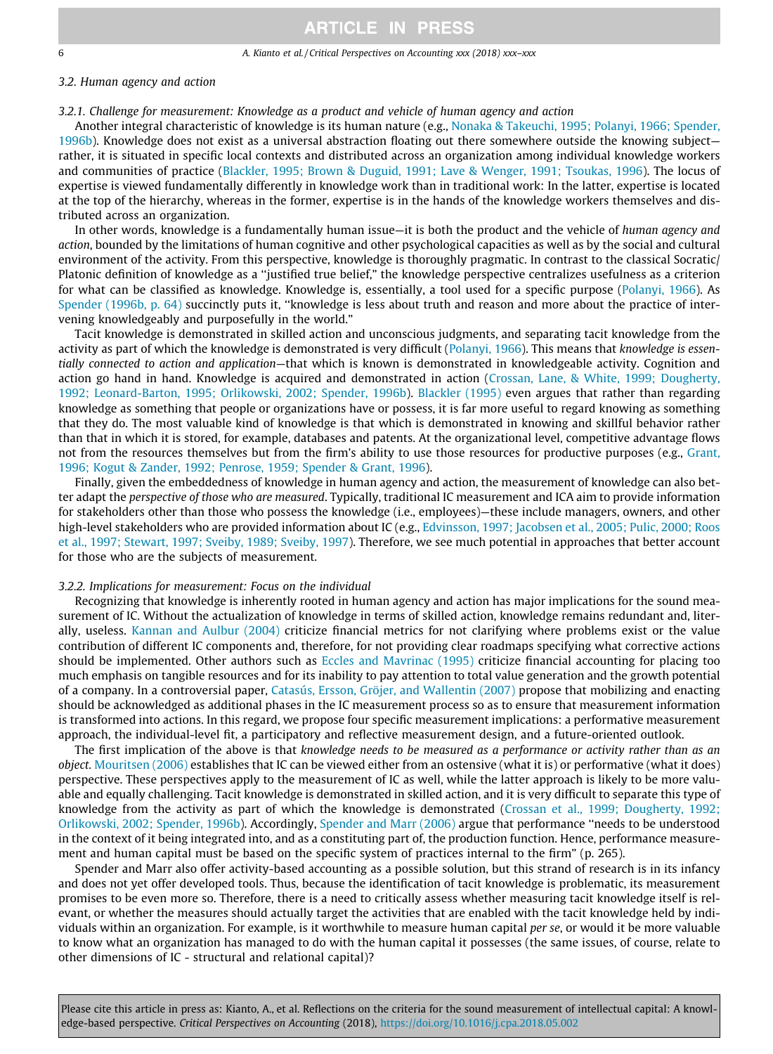#### 3.2. Human agency and action

#### 3.2.1. Challenge for measurement: Knowledge as a product and vehicle of human agency and action

Another integral characteristic of knowledge is its human nature (e.g., [Nonaka & Takeuchi, 1995; Polanyi, 1966; Spender,](#page-13-0) [1996b\)](#page-13-0). Knowledge does not exist as a universal abstraction floating out there somewhere outside the knowing subject rather, it is situated in specific local contexts and distributed across an organization among individual knowledge workers and communities of practice ([Blackler, 1995; Brown & Duguid, 1991; Lave & Wenger, 1991; Tsoukas, 1996\)](#page-12-0). The locus of expertise is viewed fundamentally differently in knowledge work than in traditional work: In the latter, expertise is located at the top of the hierarchy, whereas in the former, expertise is in the hands of the knowledge workers themselves and distributed across an organization.

In other words, knowledge is a fundamentally human issue—it is both the product and the vehicle of human agency and action, bounded by the limitations of human cognitive and other psychological capacities as well as by the social and cultural environment of the activity. From this perspective, knowledge is thoroughly pragmatic. In contrast to the classical Socratic/ Platonic definition of knowledge as a ''justified true belief," the knowledge perspective centralizes usefulness as a criterion for what can be classified as knowledge. Knowledge is, essentially, a tool used for a specific purpose [\(Polanyi, 1966](#page-13-0)). As [Spender \(1996b, p. 64\)](#page-13-0) succinctly puts it, ''knowledge is less about truth and reason and more about the practice of intervening knowledgeably and purposefully in the world."

Tacit knowledge is demonstrated in skilled action and unconscious judgments, and separating tacit knowledge from the activity as part of which the knowledge is demonstrated is very difficult [\(Polanyi, 1966](#page-13-0)). This means that knowledge is essentially connected to action and application—that which is known is demonstrated in knowledgeable activity. Cognition and action go hand in hand. Knowledge is acquired and demonstrated in action ([Crossan, Lane, & White, 1999; Dougherty,](#page-12-0) [1992; Leonard-Barton, 1995; Orlikowski, 2002; Spender, 1996b](#page-12-0)). [Blackler \(1995\)](#page-12-0) even argues that rather than regarding knowledge as something that people or organizations have or possess, it is far more useful to regard knowing as something that they do. The most valuable kind of knowledge is that which is demonstrated in knowing and skillful behavior rather than that in which it is stored, for example, databases and patents. At the organizational level, competitive advantage flows not from the resources themselves but from the firm's ability to use those resources for productive purposes (e.g., [Grant,](#page-12-0) [1996; Kogut & Zander, 1992; Penrose, 1959; Spender & Grant, 1996\)](#page-12-0).

Finally, given the embeddedness of knowledge in human agency and action, the measurement of knowledge can also better adapt the perspective of those who are measured. Typically, traditional IC measurement and ICA aim to provide information for stakeholders other than those who possess the knowledge (i.e., employees)—these include managers, owners, and other high-level stakeholders who are provided information about IC (e.g., [Edvinsson, 1997; Jacobsen et al., 2005; Pulic, 2000; Roos](#page-12-0) [et al., 1997; Stewart, 1997; Sveiby, 1989; Sveiby, 1997\)](#page-12-0). Therefore, we see much potential in approaches that better account for those who are the subjects of measurement.

#### 3.2.2. Implications for measurement: Focus on the individual

Recognizing that knowledge is inherently rooted in human agency and action has major implications for the sound measurement of IC. Without the actualization of knowledge in terms of skilled action, knowledge remains redundant and, literally, useless. [Kannan and Aulbur \(2004\)](#page-13-0) criticize financial metrics for not clarifying where problems exist or the value contribution of different IC components and, therefore, for not providing clear roadmaps specifying what corrective actions should be implemented. Other authors such as [Eccles and Mavrinac \(1995\)](#page-12-0) criticize financial accounting for placing too much emphasis on tangible resources and for its inability to pay attention to total value generation and the growth potential of a company. In a controversial paper, [Catasús, Ersson, Gröjer, and Wallentin \(2007\)](#page-12-0) propose that mobilizing and enacting should be acknowledged as additional phases in the IC measurement process so as to ensure that measurement information is transformed into actions. In this regard, we propose four specific measurement implications: a performative measurement approach, the individual-level fit, a participatory and reflective measurement design, and a future-oriented outlook.

The first implication of the above is that knowledge needs to be measured as a performance or activity rather than as an object. [Mouritsen \(2006\)](#page-13-0) establishes that IC can be viewed either from an ostensive (what it is) or performative (what it does) perspective. These perspectives apply to the measurement of IC as well, while the latter approach is likely to be more valuable and equally challenging. Tacit knowledge is demonstrated in skilled action, and it is very difficult to separate this type of knowledge from the activity as part of which the knowledge is demonstrated ([Crossan et al., 1999; Dougherty, 1992;](#page-12-0) [Orlikowski, 2002; Spender, 1996b](#page-12-0)). Accordingly, [Spender and Marr \(2006\)](#page-13-0) argue that performance ''needs to be understood in the context of it being integrated into, and as a constituting part of, the production function. Hence, performance measurement and human capital must be based on the specific system of practices internal to the firm" (p. 265).

Spender and Marr also offer activity-based accounting as a possible solution, but this strand of research is in its infancy and does not yet offer developed tools. Thus, because the identification of tacit knowledge is problematic, its measurement promises to be even more so. Therefore, there is a need to critically assess whether measuring tacit knowledge itself is relevant, or whether the measures should actually target the activities that are enabled with the tacit knowledge held by individuals within an organization. For example, is it worthwhile to measure human capital per se, or would it be more valuable to know what an organization has managed to do with the human capital it possesses (the same issues, of course, relate to other dimensions of IC - structural and relational capital)?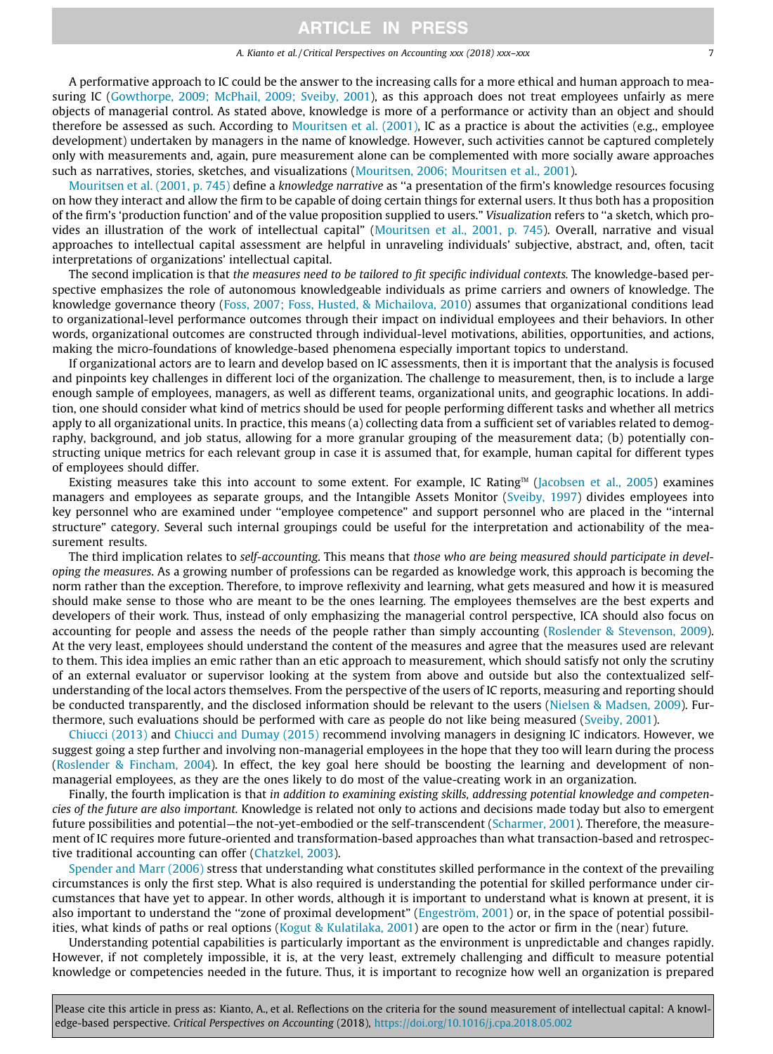A performative approach to IC could be the answer to the increasing calls for a more ethical and human approach to measuring IC [\(Gowthorpe, 2009; McPhail, 2009; Sveiby, 2001](#page-12-0)), as this approach does not treat employees unfairly as mere objects of managerial control. As stated above, knowledge is more of a performance or activity than an object and should therefore be assessed as such. According to [Mouritsen et al. \(2001\)](#page-13-0), IC as a practice is about the activities (e.g., employee development) undertaken by managers in the name of knowledge. However, such activities cannot be captured completely only with measurements and, again, pure measurement alone can be complemented with more socially aware approaches such as narratives, stories, sketches, and visualizations [\(Mouritsen, 2006; Mouritsen et al., 2001\)](#page-13-0).

[Mouritsen et al. \(2001, p. 745\)](#page-13-0) define a knowledge narrative as ''a presentation of the firm's knowledge resources focusing on how they interact and allow the firm to be capable of doing certain things for external users. It thus both has a proposition of the firm's 'production function' and of the value proposition supplied to users." Visualization refers to ''a sketch, which provides an illustration of the work of intellectual capital" [\(Mouritsen et al., 2001, p. 745\)](#page-13-0). Overall, narrative and visual approaches to intellectual capital assessment are helpful in unraveling individuals' subjective, abstract, and, often, tacit interpretations of organizations' intellectual capital.

The second implication is that the measures need to be tailored to fit specific individual contexts. The knowledge-based perspective emphasizes the role of autonomous knowledgeable individuals as prime carriers and owners of knowledge. The knowledge governance theory ([Foss, 2007; Foss, Husted, & Michailova, 2010](#page-12-0)) assumes that organizational conditions lead to organizational-level performance outcomes through their impact on individual employees and their behaviors. In other words, organizational outcomes are constructed through individual-level motivations, abilities, opportunities, and actions, making the micro-foundations of knowledge-based phenomena especially important topics to understand.

If organizational actors are to learn and develop based on IC assessments, then it is important that the analysis is focused and pinpoints key challenges in different loci of the organization. The challenge to measurement, then, is to include a large enough sample of employees, managers, as well as different teams, organizational units, and geographic locations. In addition, one should consider what kind of metrics should be used for people performing different tasks and whether all metrics apply to all organizational units. In practice, this means (a) collecting data from a sufficient set of variables related to demography, background, and job status, allowing for a more granular grouping of the measurement data; (b) potentially constructing unique metrics for each relevant group in case it is assumed that, for example, human capital for different types of employees should differ.

Existing measures take this into account to some extent. For example, IC Rating $M$  [\(Jacobsen et al., 2005](#page-12-0)) examines managers and employees as separate groups, and the Intangible Assets Monitor [\(Sveiby, 1997\)](#page-13-0) divides employees into key personnel who are examined under ''employee competence" and support personnel who are placed in the ''internal structure" category. Several such internal groupings could be useful for the interpretation and actionability of the measurement results.

The third implication relates to self-accounting. This means that those who are being measured should participate in developing the measures. As a growing number of professions can be regarded as knowledge work, this approach is becoming the norm rather than the exception. Therefore, to improve reflexivity and learning, what gets measured and how it is measured should make sense to those who are meant to be the ones learning. The employees themselves are the best experts and developers of their work. Thus, instead of only emphasizing the managerial control perspective, ICA should also focus on accounting for people and assess the needs of the people rather than simply accounting [\(Roslender & Stevenson, 2009](#page-13-0)). At the very least, employees should understand the content of the measures and agree that the measures used are relevant to them. This idea implies an emic rather than an etic approach to measurement, which should satisfy not only the scrutiny of an external evaluator or supervisor looking at the system from above and outside but also the contextualized selfunderstanding of the local actors themselves. From the perspective of the users of IC reports, measuring and reporting should be conducted transparently, and the disclosed information should be relevant to the users [\(Nielsen & Madsen, 2009\)](#page-13-0). Furthermore, such evaluations should be performed with care as people do not like being measured ([Sveiby, 2001\)](#page-13-0).

[Chiucci \(2013\)](#page-12-0) and [Chiucci and Dumay \(2015\)](#page-12-0) recommend involving managers in designing IC indicators. However, we suggest going a step further and involving non-managerial employees in the hope that they too will learn during the process ([Roslender & Fincham, 2004](#page-13-0)). In effect, the key goal here should be boosting the learning and development of nonmanagerial employees, as they are the ones likely to do most of the value-creating work in an organization.

Finally, the fourth implication is that in addition to examining existing skills, addressing potential knowledge and competencies of the future are also important. Knowledge is related not only to actions and decisions made today but also to emergent future possibilities and potential—the not-yet-embodied or the self-transcendent ([Scharmer, 2001\)](#page-13-0). Therefore, the measurement of IC requires more future-oriented and transformation-based approaches than what transaction-based and retrospective traditional accounting can offer [\(Chatzkel, 2003](#page-12-0)).

[Spender and Marr \(2006\)](#page-13-0) stress that understanding what constitutes skilled performance in the context of the prevailing circumstances is only the first step. What is also required is understanding the potential for skilled performance under circumstances that have yet to appear. In other words, although it is important to understand what is known at present, it is also important to understand the ''zone of proximal development" ([Engeström, 2001\)](#page-12-0) or, in the space of potential possibilities, what kinds of paths or real options [\(Kogut & Kulatilaka, 2001\)](#page-13-0) are open to the actor or firm in the (near) future.

Understanding potential capabilities is particularly important as the environment is unpredictable and changes rapidly. However, if not completely impossible, it is, at the very least, extremely challenging and difficult to measure potential knowledge or competencies needed in the future. Thus, it is important to recognize how well an organization is prepared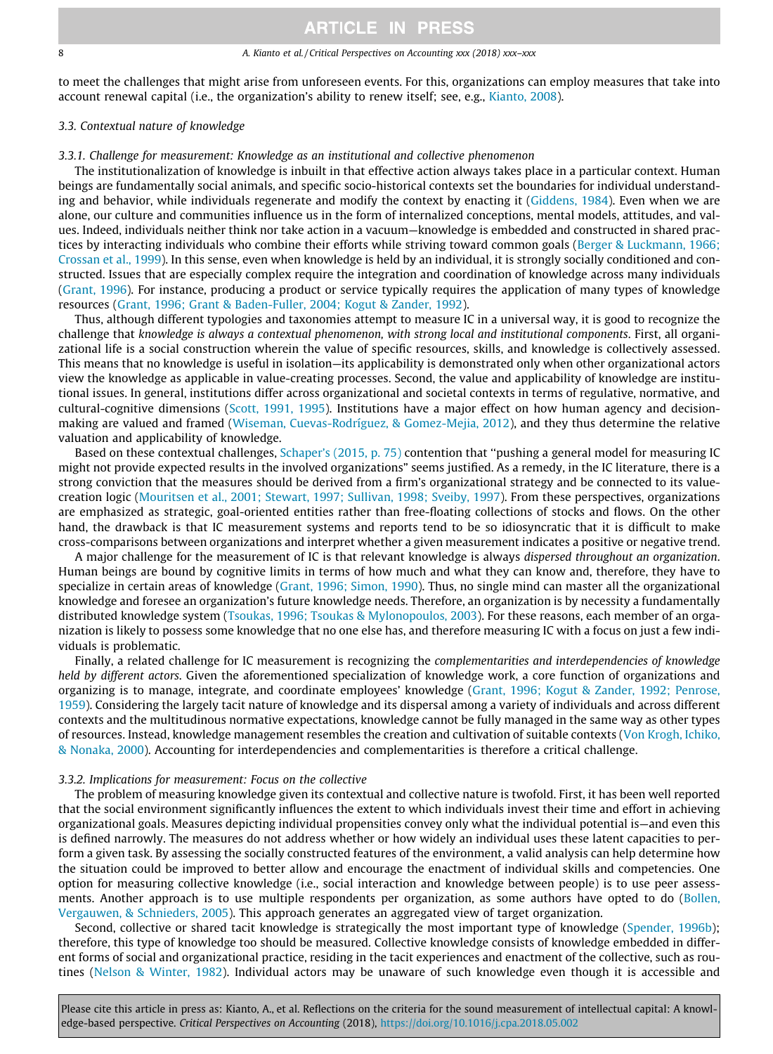#### 8 **A. Kianto et al. / Critical Perspectives on Accounting xxx** (2018) xxx–xxx

to meet the challenges that might arise from unforeseen events. For this, organizations can employ measures that take into account renewal capital (i.e., the organization's ability to renew itself; see, e.g., [Kianto, 2008](#page-13-0)).

### 3.3. Contextual nature of knowledge

#### 3.3.1. Challenge for measurement: Knowledge as an institutional and collective phenomenon

The institutionalization of knowledge is inbuilt in that effective action always takes place in a particular context. Human beings are fundamentally social animals, and specific socio-historical contexts set the boundaries for individual understanding and behavior, while individuals regenerate and modify the context by enacting it ([Giddens, 1984\)](#page-12-0). Even when we are alone, our culture and communities influence us in the form of internalized conceptions, mental models, attitudes, and values. Indeed, individuals neither think nor take action in a vacuum—knowledge is embedded and constructed in shared practices by interacting individuals who combine their efforts while striving toward common goals ([Berger & Luckmann, 1966;](#page-12-0) [Crossan et al., 1999\)](#page-12-0). In this sense, even when knowledge is held by an individual, it is strongly socially conditioned and constructed. Issues that are especially complex require the integration and coordination of knowledge across many individuals [\(Grant, 1996](#page-12-0)). For instance, producing a product or service typically requires the application of many types of knowledge resources ([Grant, 1996; Grant & Baden-Fuller, 2004; Kogut & Zander, 1992\)](#page-12-0).

Thus, although different typologies and taxonomies attempt to measure IC in a universal way, it is good to recognize the challenge that knowledge is always a contextual phenomenon, with strong local and institutional components. First, all organizational life is a social construction wherein the value of specific resources, skills, and knowledge is collectively assessed. This means that no knowledge is useful in isolation—its applicability is demonstrated only when other organizational actors view the knowledge as applicable in value-creating processes. Second, the value and applicability of knowledge are institutional issues. In general, institutions differ across organizational and societal contexts in terms of regulative, normative, and cultural-cognitive dimensions ([Scott, 1991, 1995](#page-13-0)). Institutions have a major effect on how human agency and decisionmaking are valued and framed ([Wiseman, Cuevas-Rodríguez, & Gomez-Mejia, 2012](#page-14-0)), and they thus determine the relative valuation and applicability of knowledge.

Based on these contextual challenges, [Schaper's \(2015, p. 75\)](#page-13-0) contention that ''pushing a general model for measuring IC might not provide expected results in the involved organizations" seems justified. As a remedy, in the IC literature, there is a strong conviction that the measures should be derived from a firm's organizational strategy and be connected to its valuecreation logic [\(Mouritsen et al., 2001; Stewart, 1997; Sullivan, 1998; Sveiby, 1997](#page-13-0)). From these perspectives, organizations are emphasized as strategic, goal-oriented entities rather than free-floating collections of stocks and flows. On the other hand, the drawback is that IC measurement systems and reports tend to be so idiosyncratic that it is difficult to make cross-comparisons between organizations and interpret whether a given measurement indicates a positive or negative trend.

A major challenge for the measurement of IC is that relevant knowledge is always dispersed throughout an organization. Human beings are bound by cognitive limits in terms of how much and what they can know and, therefore, they have to specialize in certain areas of knowledge [\(Grant, 1996; Simon, 1990](#page-12-0)). Thus, no single mind can master all the organizational knowledge and foresee an organization's future knowledge needs. Therefore, an organization is by necessity a fundamentally distributed knowledge system ([Tsoukas, 1996; Tsoukas & Mylonopoulos, 2003](#page-13-0)). For these reasons, each member of an organization is likely to possess some knowledge that no one else has, and therefore measuring IC with a focus on just a few individuals is problematic.

Finally, a related challenge for IC measurement is recognizing the complementarities and interdependencies of knowledge held by different actors. Given the aforementioned specialization of knowledge work, a core function of organizations and organizing is to manage, integrate, and coordinate employees' knowledge ([Grant, 1996; Kogut & Zander, 1992; Penrose,](#page-12-0) [1959](#page-12-0)). Considering the largely tacit nature of knowledge and its dispersal among a variety of individuals and across different contexts and the multitudinous normative expectations, knowledge cannot be fully managed in the same way as other types of resources. Instead, knowledge management resembles the creation and cultivation of suitable contexts [\(Von Krogh, Ichiko,](#page-14-0) [& Nonaka, 2000](#page-14-0)). Accounting for interdependencies and complementarities is therefore a critical challenge.

#### 3.3.2. Implications for measurement: Focus on the collective

The problem of measuring knowledge given its contextual and collective nature is twofold. First, it has been well reported that the social environment significantly influences the extent to which individuals invest their time and effort in achieving organizational goals. Measures depicting individual propensities convey only what the individual potential is—and even this is defined narrowly. The measures do not address whether or how widely an individual uses these latent capacities to perform a given task. By assessing the socially constructed features of the environment, a valid analysis can help determine how the situation could be improved to better allow and encourage the enactment of individual skills and competencies. One option for measuring collective knowledge (i.e., social interaction and knowledge between people) is to use peer assessments. Another approach is to use multiple respondents per organization, as some authors have opted to do ([Bollen,](#page-12-0) [Vergauwen, & Schnieders, 2005](#page-12-0)). This approach generates an aggregated view of target organization.

Second, collective or shared tacit knowledge is strategically the most important type of knowledge ([Spender, 1996b\)](#page-13-0); therefore, this type of knowledge too should be measured. Collective knowledge consists of knowledge embedded in different forms of social and organizational practice, residing in the tacit experiences and enactment of the collective, such as routines [\(Nelson & Winter, 1982\)](#page-13-0). Individual actors may be unaware of such knowledge even though it is accessible and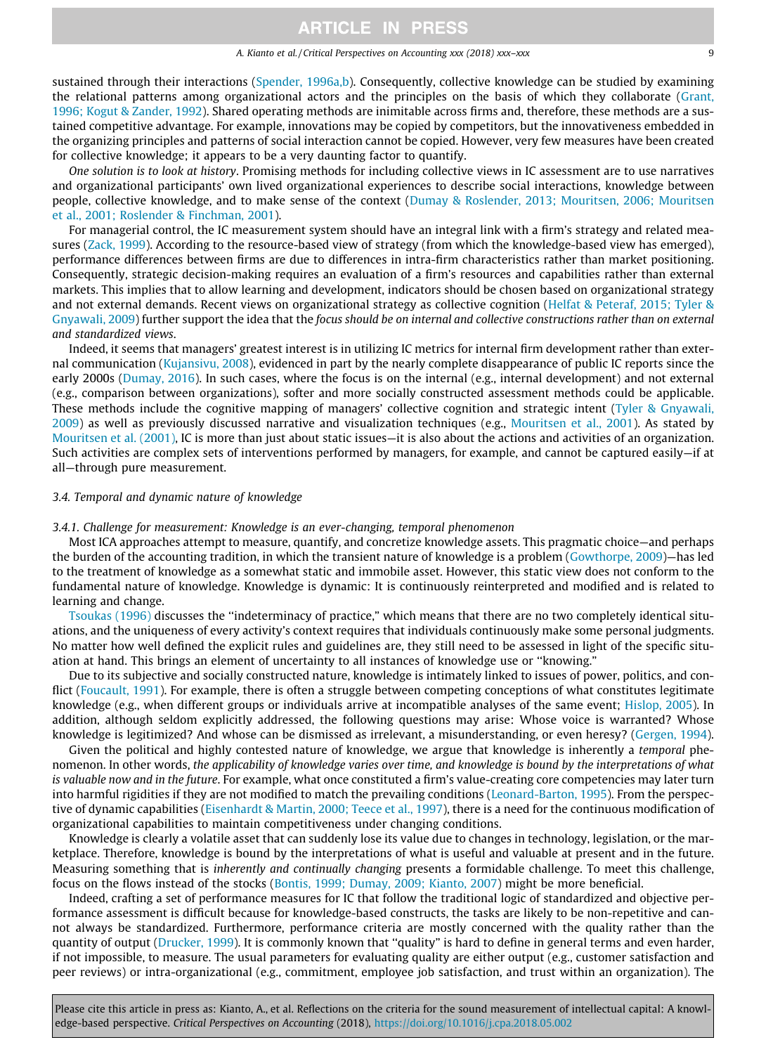sustained through their interactions ([Spender, 1996a,b\)](#page-13-0). Consequently, collective knowledge can be studied by examining the relational patterns among organizational actors and the principles on the basis of which they collaborate ([Grant,](#page-12-0) [1996; Kogut & Zander, 1992](#page-12-0)). Shared operating methods are inimitable across firms and, therefore, these methods are a sustained competitive advantage. For example, innovations may be copied by competitors, but the innovativeness embedded in the organizing principles and patterns of social interaction cannot be copied. However, very few measures have been created for collective knowledge; it appears to be a very daunting factor to quantify.

One solution is to look at history. Promising methods for including collective views in IC assessment are to use narratives and organizational participants' own lived organizational experiences to describe social interactions, knowledge between people, collective knowledge, and to make sense of the context ([Dumay & Roslender, 2013; Mouritsen, 2006; Mouritsen](#page-12-0) [et al., 2001; Roslender & Finchman, 2001](#page-12-0)).

For managerial control, the IC measurement system should have an integral link with a firm's strategy and related measures [\(Zack, 1999\)](#page-14-0). According to the resource-based view of strategy (from which the knowledge-based view has emerged), performance differences between firms are due to differences in intra-firm characteristics rather than market positioning. Consequently, strategic decision-making requires an evaluation of a firm's resources and capabilities rather than external markets. This implies that to allow learning and development, indicators should be chosen based on organizational strategy and not external demands. Recent views on organizational strategy as collective cognition [\(Helfat & Peteraf, 2015; Tyler &](#page-12-0) [Gnyawali, 2009](#page-12-0)) further support the idea that the focus should be on internal and collective constructions rather than on external and standardized views.

Indeed, it seems that managers' greatest interest is in utilizing IC metrics for internal firm development rather than external communication [\(Kujansivu, 2008](#page-13-0)), evidenced in part by the nearly complete disappearance of public IC reports since the early 2000s ([Dumay, 2016](#page-12-0)). In such cases, where the focus is on the internal (e.g., internal development) and not external (e.g., comparison between organizations), softer and more socially constructed assessment methods could be applicable. These methods include the cognitive mapping of managers' collective cognition and strategic intent ([Tyler & Gnyawali,](#page-14-0) [2009\)](#page-14-0) as well as previously discussed narrative and visualization techniques (e.g., [Mouritsen et al., 2001](#page-13-0)). As stated by [Mouritsen et al. \(2001\)](#page-13-0), IC is more than just about static issues—it is also about the actions and activities of an organization. Such activities are complex sets of interventions performed by managers, for example, and cannot be captured easily—if at all—through pure measurement.

#### 3.4. Temporal and dynamic nature of knowledge

#### 3.4.1. Challenge for measurement: Knowledge is an ever-changing, temporal phenomenon

Most ICA approaches attempt to measure, quantify, and concretize knowledge assets. This pragmatic choice—and perhaps the burden of the accounting tradition, in which the transient nature of knowledge is a problem ([Gowthorpe, 2009\)](#page-12-0)—has led to the treatment of knowledge as a somewhat static and immobile asset. However, this static view does not conform to the fundamental nature of knowledge. Knowledge is dynamic: It is continuously reinterpreted and modified and is related to learning and change.

[Tsoukas \(1996\)](#page-13-0) discusses the ''indeterminacy of practice," which means that there are no two completely identical situations, and the uniqueness of every activity's context requires that individuals continuously make some personal judgments. No matter how well defined the explicit rules and guidelines are, they still need to be assessed in light of the specific situation at hand. This brings an element of uncertainty to all instances of knowledge use or ''knowing."

Due to its subjective and socially constructed nature, knowledge is intimately linked to issues of power, politics, and conflict ([Foucault, 1991\)](#page-12-0). For example, there is often a struggle between competing conceptions of what constitutes legitimate knowledge (e.g., when different groups or individuals arrive at incompatible analyses of the same event; [Hislop, 2005\)](#page-12-0). In addition, although seldom explicitly addressed, the following questions may arise: Whose voice is warranted? Whose knowledge is legitimized? And whose can be dismissed as irrelevant, a misunderstanding, or even heresy? ([Gergen, 1994](#page-12-0)).

Given the political and highly contested nature of knowledge, we argue that knowledge is inherently a temporal phenomenon. In other words, the applicability of knowledge varies over time, and knowledge is bound by the interpretations of what is valuable now and in the future. For example, what once constituted a firm's value-creating core competencies may later turn into harmful rigidities if they are not modified to match the prevailing conditions [\(Leonard-Barton, 1995\)](#page-13-0). From the perspective of dynamic capabilities ([Eisenhardt & Martin, 2000; Teece et al., 1997\)](#page-12-0), there is a need for the continuous modification of organizational capabilities to maintain competitiveness under changing conditions.

Knowledge is clearly a volatile asset that can suddenly lose its value due to changes in technology, legislation, or the marketplace. Therefore, knowledge is bound by the interpretations of what is useful and valuable at present and in the future. Measuring something that is inherently and continually changing presents a formidable challenge. To meet this challenge, focus on the flows instead of the stocks [\(Bontis, 1999; Dumay, 2009; Kianto, 2007](#page-12-0)) might be more beneficial.

Indeed, crafting a set of performance measures for IC that follow the traditional logic of standardized and objective performance assessment is difficult because for knowledge-based constructs, the tasks are likely to be non-repetitive and cannot always be standardized. Furthermore, performance criteria are mostly concerned with the quality rather than the quantity of output [\(Drucker, 1999\)](#page-12-0). It is commonly known that ''quality" is hard to define in general terms and even harder, if not impossible, to measure. The usual parameters for evaluating quality are either output (e.g., customer satisfaction and peer reviews) or intra-organizational (e.g., commitment, employee job satisfaction, and trust within an organization). The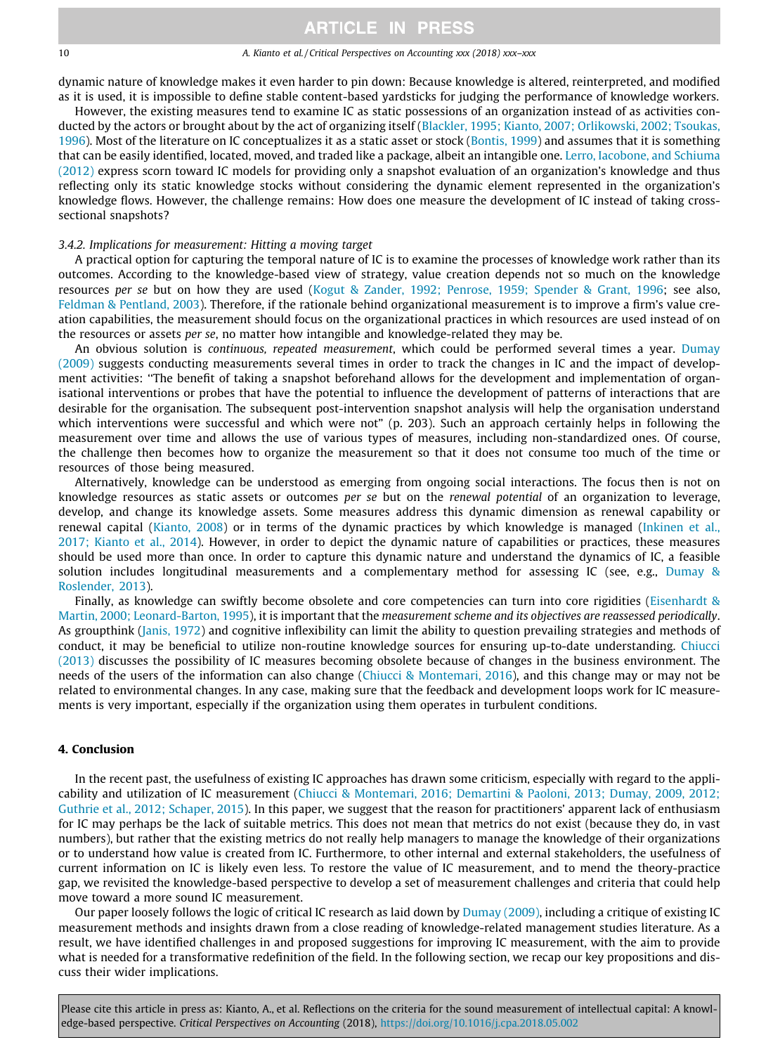#### 10 **A. Kianto et al. / Critical Perspectives on Accounting xxx (2018) xxx–xxx**

dynamic nature of knowledge makes it even harder to pin down: Because knowledge is altered, reinterpreted, and modified as it is used, it is impossible to define stable content-based yardsticks for judging the performance of knowledge workers.

However, the existing measures tend to examine IC as static possessions of an organization instead of as activities conducted by the actors or brought about by the act of organizing itself [\(Blackler, 1995; Kianto, 2007; Orlikowski, 2002; Tsoukas,](#page-12-0) [1996](#page-12-0)). Most of the literature on IC conceptualizes it as a static asset or stock ([Bontis, 1999\)](#page-12-0) and assumes that it is something that can be easily identified, located, moved, and traded like a package, albeit an intangible one. [Lerro, Iacobone, and Schiuma](#page-13-0) [\(2012\)](#page-13-0) express scorn toward IC models for providing only a snapshot evaluation of an organization's knowledge and thus reflecting only its static knowledge stocks without considering the dynamic element represented in the organization's knowledge flows. However, the challenge remains: How does one measure the development of IC instead of taking crosssectional snapshots?

#### 3.4.2. Implications for measurement: Hitting a moving target

A practical option for capturing the temporal nature of IC is to examine the processes of knowledge work rather than its outcomes. According to the knowledge-based view of strategy, value creation depends not so much on the knowledge resources per se but on how they are used ([Kogut & Zander, 1992; Penrose, 1959; Spender & Grant, 1996](#page-13-0); see also, [Feldman & Pentland, 2003\)](#page-12-0). Therefore, if the rationale behind organizational measurement is to improve a firm's value creation capabilities, the measurement should focus on the organizational practices in which resources are used instead of on the resources or assets per se, no matter how intangible and knowledge-related they may be.

An obvious solution is continuous, repeated measurement, which could be performed several times a year. [Dumay](#page-12-0) [\(2009\)](#page-12-0) suggests conducting measurements several times in order to track the changes in IC and the impact of development activities: ''The benefit of taking a snapshot beforehand allows for the development and implementation of organisational interventions or probes that have the potential to influence the development of patterns of interactions that are desirable for the organisation. The subsequent post-intervention snapshot analysis will help the organisation understand which interventions were successful and which were not" (p. 203). Such an approach certainly helps in following the measurement over time and allows the use of various types of measures, including non-standardized ones. Of course, the challenge then becomes how to organize the measurement so that it does not consume too much of the time or resources of those being measured.

Alternatively, knowledge can be understood as emerging from ongoing social interactions. The focus then is not on knowledge resources as static assets or outcomes per se but on the renewal potential of an organization to leverage, develop, and change its knowledge assets. Some measures address this dynamic dimension as renewal capability or renewal capital ([Kianto, 2008](#page-13-0)) or in terms of the dynamic practices by which knowledge is managed ([Inkinen et al.,](#page-12-0) [2017; Kianto et al., 2014\)](#page-12-0). However, in order to depict the dynamic nature of capabilities or practices, these measures should be used more than once. In order to capture this dynamic nature and understand the dynamics of IC, a feasible solution includes longitudinal measurements and a complementary method for assessing IC (see, e.g., [Dumay &](#page-12-0) [Roslender, 2013\)](#page-12-0).

Finally, as knowledge can swiftly become obsolete and core competencies can turn into core rigidities [\(Eisenhardt &](#page-12-0) [Martin, 2000; Leonard-Barton, 1995\)](#page-12-0), it is important that the measurement scheme and its objectives are reassessed periodically. As groupthink [\(Janis, 1972\)](#page-12-0) and cognitive inflexibility can limit the ability to question prevailing strategies and methods of conduct, it may be beneficial to utilize non-routine knowledge sources for ensuring up-to-date understanding. [Chiucci](#page-12-0) [\(2013\)](#page-12-0) discusses the possibility of IC measures becoming obsolete because of changes in the business environment. The needs of the users of the information can also change ([Chiucci & Montemari, 2016\)](#page-12-0), and this change may or may not be related to environmental changes. In any case, making sure that the feedback and development loops work for IC measurements is very important, especially if the organization using them operates in turbulent conditions.

#### 4. Conclusion

In the recent past, the usefulness of existing IC approaches has drawn some criticism, especially with regard to the applicability and utilization of IC measurement [\(Chiucci & Montemari, 2016; Demartini & Paoloni, 2013; Dumay, 2009, 2012;](#page-12-0) [Guthrie et al., 2012; Schaper, 2015\)](#page-12-0). In this paper, we suggest that the reason for practitioners' apparent lack of enthusiasm for IC may perhaps be the lack of suitable metrics. This does not mean that metrics do not exist (because they do, in vast numbers), but rather that the existing metrics do not really help managers to manage the knowledge of their organizations or to understand how value is created from IC. Furthermore, to other internal and external stakeholders, the usefulness of current information on IC is likely even less. To restore the value of IC measurement, and to mend the theory-practice gap, we revisited the knowledge-based perspective to develop a set of measurement challenges and criteria that could help move toward a more sound IC measurement.

Our paper loosely follows the logic of critical IC research as laid down by [Dumay \(2009\)](#page-12-0), including a critique of existing IC measurement methods and insights drawn from a close reading of knowledge-related management studies literature. As a result, we have identified challenges in and proposed suggestions for improving IC measurement, with the aim to provide what is needed for a transformative redefinition of the field. In the following section, we recap our key propositions and discuss their wider implications.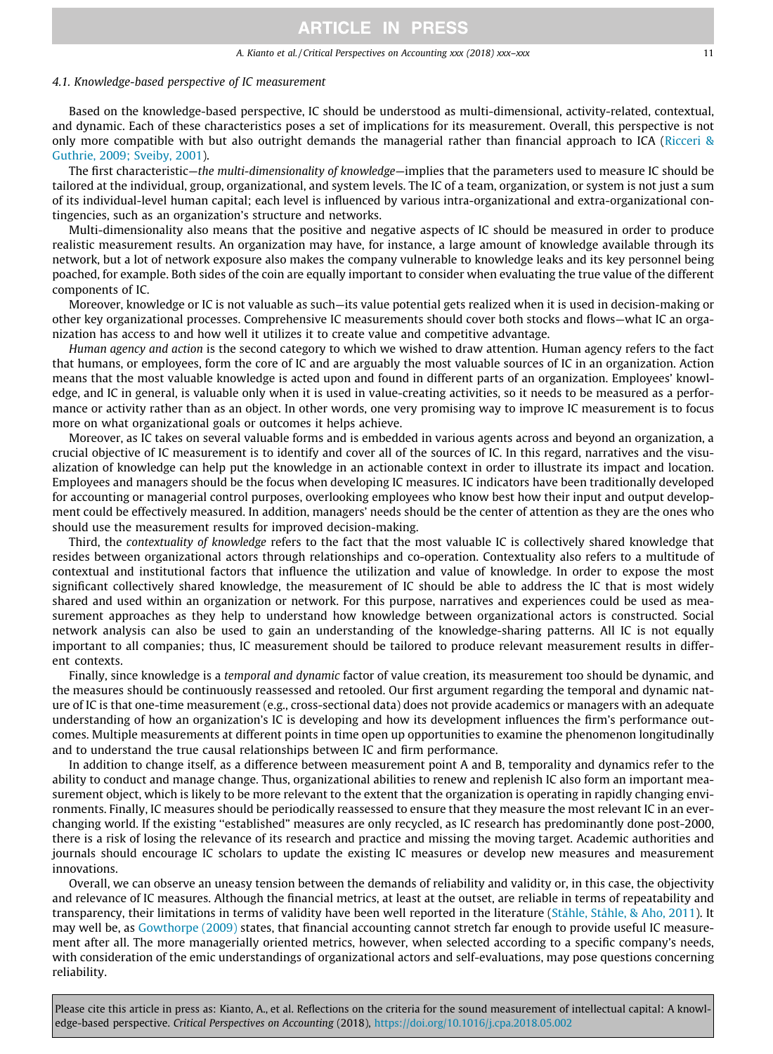#### 4.1. Knowledge-based perspective of IC measurement

Based on the knowledge-based perspective, IC should be understood as multi-dimensional, activity-related, contextual, and dynamic. Each of these characteristics poses a set of implications for its measurement. Overall, this perspective is not only more compatible with but also outright demands the managerial rather than financial approach to ICA [\(Ricceri &](#page-13-0) [Guthrie, 2009; Sveiby, 2001\)](#page-13-0).

The first characteristic—the multi-dimensionality of knowledge—implies that the parameters used to measure IC should be tailored at the individual, group, organizational, and system levels. The IC of a team, organization, or system is not just a sum of its individual-level human capital; each level is influenced by various intra-organizational and extra-organizational contingencies, such as an organization's structure and networks.

Multi-dimensionality also means that the positive and negative aspects of IC should be measured in order to produce realistic measurement results. An organization may have, for instance, a large amount of knowledge available through its network, but a lot of network exposure also makes the company vulnerable to knowledge leaks and its key personnel being poached, for example. Both sides of the coin are equally important to consider when evaluating the true value of the different components of IC.

Moreover, knowledge or IC is not valuable as such—its value potential gets realized when it is used in decision-making or other key organizational processes. Comprehensive IC measurements should cover both stocks and flows—what IC an organization has access to and how well it utilizes it to create value and competitive advantage.

Human agency and action is the second category to which we wished to draw attention. Human agency refers to the fact that humans, or employees, form the core of IC and are arguably the most valuable sources of IC in an organization. Action means that the most valuable knowledge is acted upon and found in different parts of an organization. Employees' knowledge, and IC in general, is valuable only when it is used in value-creating activities, so it needs to be measured as a performance or activity rather than as an object. In other words, one very promising way to improve IC measurement is to focus more on what organizational goals or outcomes it helps achieve.

Moreover, as IC takes on several valuable forms and is embedded in various agents across and beyond an organization, a crucial objective of IC measurement is to identify and cover all of the sources of IC. In this regard, narratives and the visualization of knowledge can help put the knowledge in an actionable context in order to illustrate its impact and location. Employees and managers should be the focus when developing IC measures. IC indicators have been traditionally developed for accounting or managerial control purposes, overlooking employees who know best how their input and output development could be effectively measured. In addition, managers' needs should be the center of attention as they are the ones who should use the measurement results for improved decision-making.

Third, the contextuality of knowledge refers to the fact that the most valuable IC is collectively shared knowledge that resides between organizational actors through relationships and co-operation. Contextuality also refers to a multitude of contextual and institutional factors that influence the utilization and value of knowledge. In order to expose the most significant collectively shared knowledge, the measurement of IC should be able to address the IC that is most widely shared and used within an organization or network. For this purpose, narratives and experiences could be used as measurement approaches as they help to understand how knowledge between organizational actors is constructed. Social network analysis can also be used to gain an understanding of the knowledge-sharing patterns. All IC is not equally important to all companies; thus, IC measurement should be tailored to produce relevant measurement results in different contexts.

Finally, since knowledge is a temporal and dynamic factor of value creation, its measurement too should be dynamic, and the measures should be continuously reassessed and retooled. Our first argument regarding the temporal and dynamic nature of IC is that one-time measurement (e.g., cross-sectional data) does not provide academics or managers with an adequate understanding of how an organization's IC is developing and how its development influences the firm's performance outcomes. Multiple measurements at different points in time open up opportunities to examine the phenomenon longitudinally and to understand the true causal relationships between IC and firm performance.

In addition to change itself, as a difference between measurement point A and B, temporality and dynamics refer to the ability to conduct and manage change. Thus, organizational abilities to renew and replenish IC also form an important measurement object, which is likely to be more relevant to the extent that the organization is operating in rapidly changing environments. Finally, IC measures should be periodically reassessed to ensure that they measure the most relevant IC in an everchanging world. If the existing ''established" measures are only recycled, as IC research has predominantly done post-2000, there is a risk of losing the relevance of its research and practice and missing the moving target. Academic authorities and journals should encourage IC scholars to update the existing IC measures or develop new measures and measurement innovations.

Overall, we can observe an uneasy tension between the demands of reliability and validity or, in this case, the objectivity and relevance of IC measures. Although the financial metrics, at least at the outset, are reliable in terms of repeatability and transparency, their limitations in terms of validity have been well reported in the literature ([Ståhle, Ståhle, & Aho, 2011](#page-13-0)). It may well be, as [Gowthorpe \(2009\)](#page-12-0) states, that financial accounting cannot stretch far enough to provide useful IC measurement after all. The more managerially oriented metrics, however, when selected according to a specific company's needs, with consideration of the emic understandings of organizational actors and self-evaluations, may pose questions concerning reliability.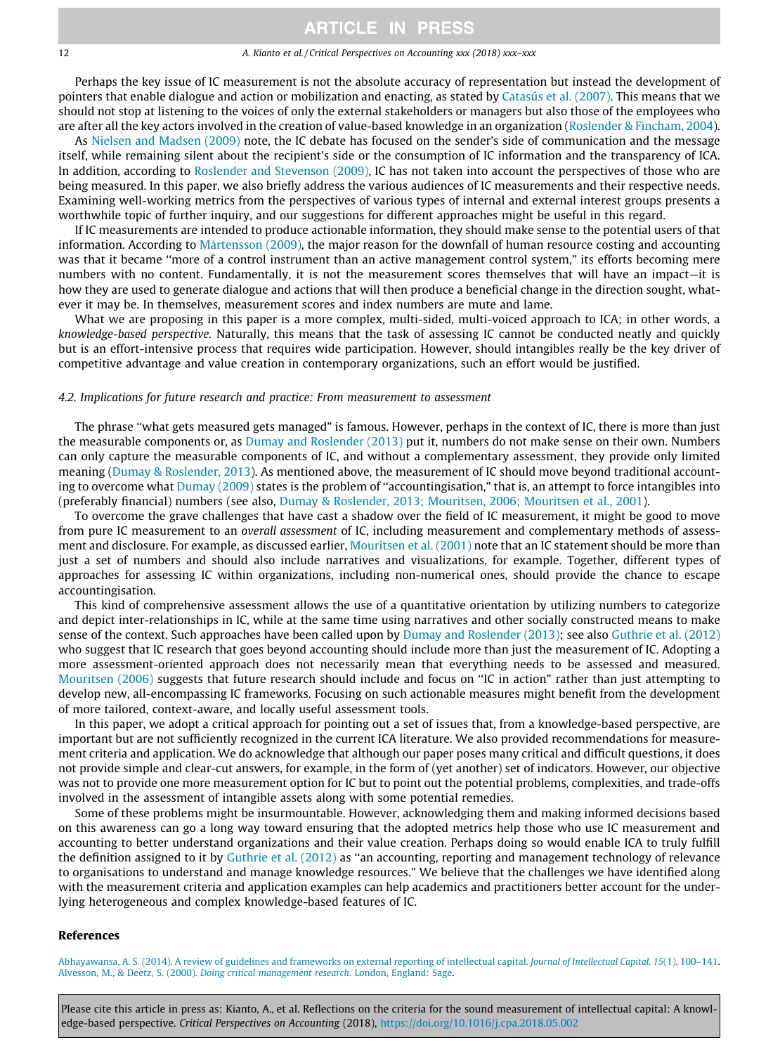#### <span id="page-11-0"></span>12 **A. Kianto et al. / Critical Perspectives on Accounting xxx (2018) xxx–xxx**

Perhaps the key issue of IC measurement is not the absolute accuracy of representation but instead the development of pointers that enable dialogue and action or mobilization and enacting, as stated by [Catasús et al. \(2007\)](#page-12-0). This means that we should not stop at listening to the voices of only the external stakeholders or managers but also those of the employees who are after all the key actors involved in the creation of value-based knowledge in an organization ([Roslender & Fincham, 2004](#page-13-0)).

As [Nielsen and Madsen \(2009\)](#page-13-0) note, the IC debate has focused on the sender's side of communication and the message itself, while remaining silent about the recipient's side or the consumption of IC information and the transparency of ICA. In addition, according to [Roslender and Stevenson \(2009\),](#page-13-0) IC has not taken into account the perspectives of those who are being measured. In this paper, we also briefly address the various audiences of IC measurements and their respective needs. Examining well-working metrics from the perspectives of various types of internal and external interest groups presents a worthwhile topic of further inquiry, and our suggestions for different approaches might be useful in this regard.

If IC measurements are intended to produce actionable information, they should make sense to the potential users of that information. According to [Mårtensson \(2009\)](#page-13-0), the major reason for the downfall of human resource costing and accounting was that it became ''more of a control instrument than an active management control system," its efforts becoming mere numbers with no content. Fundamentally, it is not the measurement scores themselves that will have an impact—it is how they are used to generate dialogue and actions that will then produce a beneficial change in the direction sought, whatever it may be. In themselves, measurement scores and index numbers are mute and lame.

What we are proposing in this paper is a more complex, multi-sided, multi-voiced approach to ICA; in other words, a knowledge-based perspective. Naturally, this means that the task of assessing IC cannot be conducted neatly and quickly but is an effort-intensive process that requires wide participation. However, should intangibles really be the key driver of competitive advantage and value creation in contemporary organizations, such an effort would be justified.

#### 4.2. Implications for future research and practice: From measurement to assessment

The phrase ''what gets measured gets managed" is famous. However, perhaps in the context of IC, there is more than just the measurable components or, as [Dumay and Roslender \(2013\)](#page-12-0) put it, numbers do not make sense on their own. Numbers can only capture the measurable components of IC, and without a complementary assessment, they provide only limited meaning [\(Dumay & Roslender, 2013\)](#page-12-0). As mentioned above, the measurement of IC should move beyond traditional accounting to overcome what [Dumay \(2009\)](#page-12-0) states is the problem of ''accountingisation," that is, an attempt to force intangibles into (preferably financial) numbers (see also, [Dumay & Roslender, 2013; Mouritsen, 2006; Mouritsen et al., 2001](#page-12-0)).

To overcome the grave challenges that have cast a shadow over the field of IC measurement, it might be good to move from pure IC measurement to an *overall assessment* of IC, including measurement and complementary methods of assessment and disclosure. For example, as discussed earlier, [Mouritsen et al. \(2001\)](#page-13-0) note that an IC statement should be more than just a set of numbers and should also include narratives and visualizations, for example. Together, different types of approaches for assessing IC within organizations, including non-numerical ones, should provide the chance to escape accountingisation.

This kind of comprehensive assessment allows the use of a quantitative orientation by utilizing numbers to categorize and depict inter-relationships in IC, while at the same time using narratives and other socially constructed means to make sense of the context. Such approaches have been called upon by [Dumay and Roslender \(2013\)](#page-12-0); see also [Guthrie et al. \(2012\)](#page-12-0) who suggest that IC research that goes beyond accounting should include more than just the measurement of IC. Adopting a more assessment-oriented approach does not necessarily mean that everything needs to be assessed and measured. [Mouritsen \(2006\)](#page-13-0) suggests that future research should include and focus on ''IC in action" rather than just attempting to develop new, all-encompassing IC frameworks. Focusing on such actionable measures might benefit from the development of more tailored, context-aware, and locally useful assessment tools.

In this paper, we adopt a critical approach for pointing out a set of issues that, from a knowledge-based perspective, are important but are not sufficiently recognized in the current ICA literature. We also provided recommendations for measurement criteria and application. We do acknowledge that although our paper poses many critical and difficult questions, it does not provide simple and clear-cut answers, for example, in the form of (yet another) set of indicators. However, our objective was not to provide one more measurement option for IC but to point out the potential problems, complexities, and trade-offs involved in the assessment of intangible assets along with some potential remedies.

Some of these problems might be insurmountable. However, acknowledging them and making informed decisions based on this awareness can go a long way toward ensuring that the adopted metrics help those who use IC measurement and accounting to better understand organizations and their value creation. Perhaps doing so would enable ICA to truly fulfill the definition assigned to it by [Guthrie et al. \(2012\)](#page-12-0) as ''an accounting, reporting and management technology of relevance to organisations to understand and manage knowledge resources." We believe that the challenges we have identified along with the measurement criteria and application examples can help academics and practitioners better account for the underlying heterogeneous and complex knowledge-based features of IC.

#### References

[Abhayawansa, A. S. \(2014\). A review of guidelines and frameworks on external reporting of intellectual capital.](http://refhub.elsevier.com/S1045-2354(18)30157-6/h0005) Journal of Intellectual Capital, 15(1), 100-141. Alvesson, M., & Deetz, S. (2000). [Doing critical management research](http://refhub.elsevier.com/S1045-2354(18)30157-6/h0010). London, England: Sage.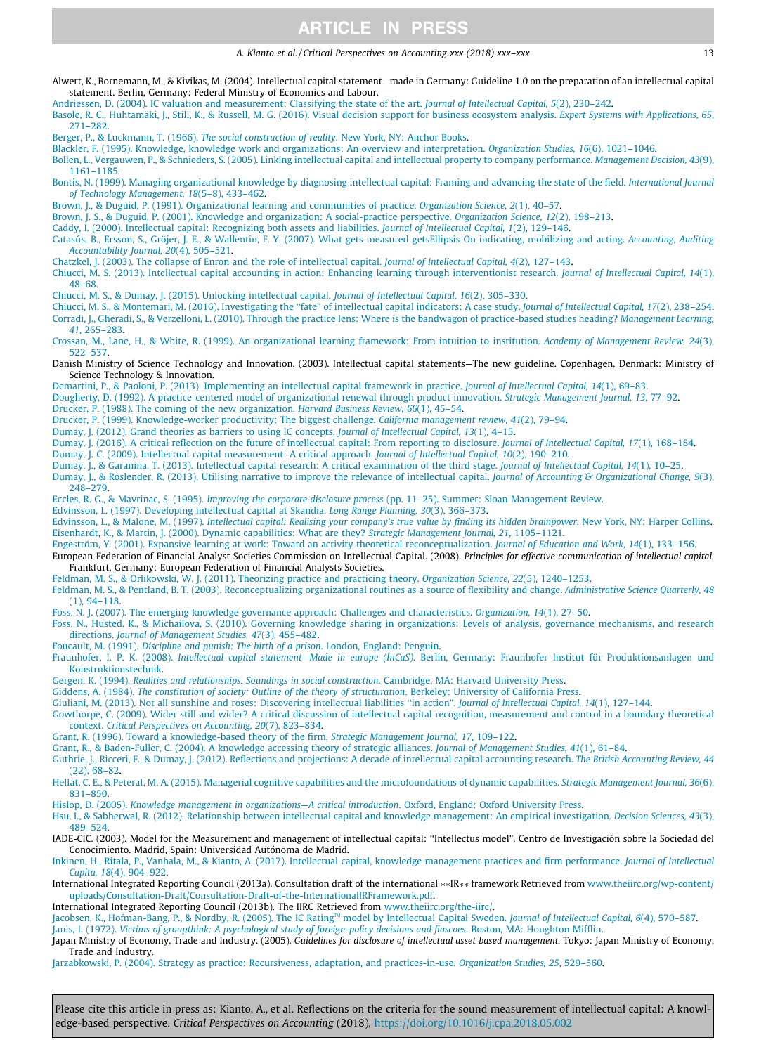A. Kianto et al. / Critical Perspectives on Accounting xxx (2018) xxx–xxx 13

<span id="page-12-0"></span>Alwert, K., Bornemann, M., & Kivikas, M. (2004). Intellectual capital statement—made in Germany: Guideline 1.0 on the preparation of an intellectual capital statement. Berlin, Germany: Federal Ministry of Economics and Labour.

[Andriessen, D. \(2004\). IC valuation and measurement: Classifying the state of the art.](http://refhub.elsevier.com/S1045-2354(18)30157-6/h0020) Journal of Intellectual Capital, 5(2), 230–242.

[Basole, R. C., Huhtamäki, J., Still, K., & Russell, M. G. \(2016\). Visual decision support for business ecosystem analysis.](http://refhub.elsevier.com/S1045-2354(18)30157-6/h0025) Expert Systems with Applications, 65, [271–282.](http://refhub.elsevier.com/S1045-2354(18)30157-6/h0025)

[Berger, P., & Luckmann, T. \(1966\).](http://refhub.elsevier.com/S1045-2354(18)30157-6/h0030) The social construction of reality. New York, NY: Anchor Books.

[Blackler, F. \(1995\). Knowledge, knowledge work and organizations: An overview and interpretation.](http://refhub.elsevier.com/S1045-2354(18)30157-6/h0035) Organization Studies, 16(6), 1021–1046.

[Bollen, L., Vergauwen, P., & Schnieders, S. \(2005\). Linking intellectual capital and intellectual property to company performance.](http://refhub.elsevier.com/S1045-2354(18)30157-6/h0040) Management Decision, 43(9), [1161–1185](http://refhub.elsevier.com/S1045-2354(18)30157-6/h0040).

[Bontis, N. \(1999\). Managing organizational knowledge by diagnosing intellectual capital: Framing and advancing the state of the field.](http://refhub.elsevier.com/S1045-2354(18)30157-6/h0045) International Journal [of Technology Management, 18](http://refhub.elsevier.com/S1045-2354(18)30157-6/h0045)(5–8), 433–462.

[Brown, J., & Duguid, P. \(1991\). Organizational learning and communities of practice.](http://refhub.elsevier.com/S1045-2354(18)30157-6/h0050) Organization Science, 2(1), 40–57.

[Brown, J. S., & Duguid, P. \(2001\). Knowledge and organization: A social-practice perspective.](http://refhub.elsevier.com/S1045-2354(18)30157-6/h0055) Organization Science, 12(2), 198–213.

[Caddy, I. \(2000\). Intellectual capital: Recognizing both assets and liabilities.](http://refhub.elsevier.com/S1045-2354(18)30157-6/h0060) Journal of Intellectual Capital, 1(2), 129–146.

[Catasús, B., Ersson, S., Gröjer, J. E., & Wallentin, F. Y. \(2007\). What gets measured getsEllipsis On indicating, mobilizing and acting.](http://refhub.elsevier.com/S1045-2354(18)30157-6/h0065) Accounting, Auditing [Accountability Journal, 20](http://refhub.elsevier.com/S1045-2354(18)30157-6/h0065)(4), 505–521.

[Chatzkel, J. \(2003\). The collapse of Enron and the role of intellectual capital.](http://refhub.elsevier.com/S1045-2354(18)30157-6/h0070) Journal of Intellectual Capital, 4(2), 127–143.

[Chiucci, M. S. \(2013\). Intellectual capital accounting in action: Enhancing learning through interventionist research.](http://refhub.elsevier.com/S1045-2354(18)30157-6/h0075) Journal of Intellectual Capital, 14(1), [48–68.](http://refhub.elsevier.com/S1045-2354(18)30157-6/h0075)

[Chiucci, M. S., & Dumay, J. \(2015\). Unlocking intellectual capital.](http://refhub.elsevier.com/S1045-2354(18)30157-6/h0080) Journal of Intellectual Capital, 16(2), 305–330.

[Chiucci, M. S., & Montemari, M. \(2016\). Investigating the ''fate" of intellectual capital indicators: A case study.](http://refhub.elsevier.com/S1045-2354(18)30157-6/h0085) Journal of Intellectual Capital, 17(2), 238–254. [Corradi, J., Gheradi, S., & Verzelloni, L. \(2010\). Through the practice lens: Where is the bandwagon of practice-based studies heading?](http://refhub.elsevier.com/S1045-2354(18)30157-6/h0090) Management Learning, 41[, 265–283](http://refhub.elsevier.com/S1045-2354(18)30157-6/h0090).

[Crossan, M., Lane, H., & White, R. \(1999\). An organizational learning framework: From intuition to institution.](http://refhub.elsevier.com/S1045-2354(18)30157-6/h0095) Academy of Management Review, 24(3), [522–537.](http://refhub.elsevier.com/S1045-2354(18)30157-6/h0095)

Danish Ministry of Science Technology and Innovation. (2003). Intellectual capital statements—The new guideline. Copenhagen, Denmark: Ministry of Science Technology & Innovation.

[Demartini, P., & Paoloni, P. \(2013\). Implementing an intellectual capital framework in practice.](http://refhub.elsevier.com/S1045-2354(18)30157-6/h0105) Journal of Intellectual Capital, 14(1), 69–83.

[Dougherty, D. \(1992\). A practice-centered model of organizational renewal through product innovation.](http://refhub.elsevier.com/S1045-2354(18)30157-6/h0110) Strategic Management Journal, 13, 77–92.

[Drucker, P. \(1988\). The coming of the new organization.](http://refhub.elsevier.com/S1045-2354(18)30157-6/h0115) Harvard Business Review, 66(1), 45–54.

[Drucker, P. \(1999\). Knowledge-worker productivity: The biggest challenge.](http://refhub.elsevier.com/S1045-2354(18)30157-6/h0120) California management review, 41(2), 79–94.

[Dumay, J. \(2012\). Grand theories as barriers to using IC concepts.](http://refhub.elsevier.com/S1045-2354(18)30157-6/h0125) Journal of Intellectual Capital, 13(1), 4–15.

[Dumay, J. \(2016\). A critical reflection on the future of intellectual capital: From reporting to disclosure.](http://refhub.elsevier.com/S1045-2354(18)30157-6/h0130) Journal of Intellectual Capital, 17(1), 168-184.

[Dumay, J. C. \(2009\). Intellectual capital measurement: A critical approach.](http://refhub.elsevier.com/S1045-2354(18)30157-6/h0135) Journal of Intellectual Capital, 10(2), 190–210.

[Dumay, J., & Garanina, T. \(2013\). Intellectual capital research: A critical examination of the third stage.](http://refhub.elsevier.com/S1045-2354(18)30157-6/h0140) Journal of Intellectual Capital, 14(1), 10–25.

[Dumay, J., & Roslender, R. \(2013\). Utilising narrative to improve the relevance of intellectual capital.](http://refhub.elsevier.com/S1045-2354(18)30157-6/h0145) Journal of Accounting & Organizational Change, 9(3), [248–279.](http://refhub.elsevier.com/S1045-2354(18)30157-6/h0145)

Eccles, R. G., & Mavrinac, S. (1995). Improving the corporate disclosure process [\(pp. 11–25\). Summer: Sloan Management Review.](http://refhub.elsevier.com/S1045-2354(18)30157-6/h0150)

[Edvinsson, L. \(1997\). Developing intellectual capital at Skandia.](http://refhub.elsevier.com/S1045-2354(18)30157-6/h0155) Long Range Planning, 30(3), 366–373.

Edvinsson, L., & Malone, M. (1997). [Intellectual capital: Realising your company's true value by finding its hidden brainpower](http://refhub.elsevier.com/S1045-2354(18)30157-6/h0160). New York, NY: Harper Collins. [Eisenhardt, K., & Martin, J. \(2000\). Dynamic capabilities: What are they?](http://refhub.elsevier.com/S1045-2354(18)30157-6/h0165) Strategic Management Journal, 21, 1105–1121.

[Engeström, Y. \(2001\). Expansive learning at work: Toward an activity theoretical reconceptualization.](http://refhub.elsevier.com/S1045-2354(18)30157-6/h0170) Journal of Education and Work, 14(1), 133–156.

European Federation of Financial Analyst Societies Commission on Intellectual Capital. (2008). Principles for effective communication of intellectual capital. Frankfurt, Germany: European Federation of Financial Analysts Societies.

[Feldman, M. S., & Orlikowski, W. J. \(2011\). Theorizing practice and practicing theory.](http://refhub.elsevier.com/S1045-2354(18)30157-6/h0180) Organization Science, 22(5), 1240–1253.

[Feldman, M. S., & Pentland, B. T. \(2003\). Reconceptualizing organizational routines as a source of flexibility and change.](http://refhub.elsevier.com/S1045-2354(18)30157-6/h0185) Administrative Science Quarterly, 48  $(1), 94-118.$ 

[Foss, N. J. \(2007\). The emerging knowledge governance approach: Challenges and characteristics.](http://refhub.elsevier.com/S1045-2354(18)30157-6/h0190) Organization, 14(1), 27–50.

[Foss, N., Husted, K., & Michailova, S. \(2010\). Governing knowledge sharing in organizations: Levels of analysis, governance mechanisms, and research](http://refhub.elsevier.com/S1045-2354(18)30157-6/h0195) directions. [Journal of Management Studies, 47](http://refhub.elsevier.com/S1045-2354(18)30157-6/h0195)(3), 455–482.

Foucault, M. (1991). [Discipline and punish: The birth of a prison](http://refhub.elsevier.com/S1045-2354(18)30157-6/h0200). London, England: Penguin.

Fraunhofer, I. P. K. (2008). Intellectual capital statement—Made in europe (InCaS)[. Berlin, Germany: Fraunhofer Institut für Produktionsanlagen und](http://refhub.elsevier.com/S1045-2354(18)30157-6/h0205) [Konstruktionstechnik.](http://refhub.elsevier.com/S1045-2354(18)30157-6/h0205)

Gergen, K. (1994). [Realities and relationships. Soundings in social construction](http://refhub.elsevier.com/S1045-2354(18)30157-6/h0210). Cambridge, MA: Harvard University Press.

Giddens, A. (1984). [The constitution of society: Outline of the theory of structuration](http://refhub.elsevier.com/S1045-2354(18)30157-6/h0220). Berkeley: University of California Press.

[Giuliani, M. \(2013\). Not all sunshine and roses: Discovering intellectual liabilities ''in action"](http://refhub.elsevier.com/S1045-2354(18)30157-6/h0225). [Journal of Intellectual Capital, 14](http://refhub.elsevier.com/S1045-2354(18)30157-6/h0225)(1), 127–144.

[Gowthorpe, C. \(2009\). Wider still and wider? A critical discussion of intellectual capital recognition, measurement and control in a boundary theoretical](http://refhub.elsevier.com/S1045-2354(18)30157-6/h0230) context. [Critical Perspectives on Accounting, 20](http://refhub.elsevier.com/S1045-2354(18)30157-6/h0230)(7), 823–834.

[Grant, R. \(1996\). Toward a knowledge-based theory of the firm.](http://refhub.elsevier.com/S1045-2354(18)30157-6/h0235) Strategic Management Journal, 17, 109–122.

[Grant, R., & Baden-Fuller, C. \(2004\). A knowledge accessing theory of strategic alliances.](http://refhub.elsevier.com/S1045-2354(18)30157-6/h0240) Journal of Management Studies, 41(1), 61–84.

[Guthrie, J., Ricceri, F., & Dumay, J. \(2012\). Reflections and projections: A decade of intellectual capital accounting research.](http://refhub.elsevier.com/S1045-2354(18)30157-6/h0245) The British Accounting Review, 44 [\(22\), 68–82](http://refhub.elsevier.com/S1045-2354(18)30157-6/h0245).

[Helfat, C. E., & Peteraf, M. A. \(2015\). Managerial cognitive capabilities and the microfoundations of dynamic capabilities.](http://refhub.elsevier.com/S1045-2354(18)30157-6/h0250) Strategic Management Journal, 36(6), [831–850](http://refhub.elsevier.com/S1045-2354(18)30157-6/h0250).

Hislop, D. (2005). [Knowledge management in organizations—A critical introduction](http://refhub.elsevier.com/S1045-2354(18)30157-6/h0255). Oxford, England: Oxford University Press.

[Hsu, I., & Sabherwal, R. \(2012\). Relationship between intellectual capital and knowledge management: An empirical investigation.](http://refhub.elsevier.com/S1045-2354(18)30157-6/h0260) Decision Sciences, 43(3), [489–524.](http://refhub.elsevier.com/S1045-2354(18)30157-6/h0260)

IADE-CIC. (2003). Model for the Measurement and management of intellectual capital: ''Intellectus model". Centro de Investigación sobre la Sociedad del Conocimiento. Madrid, Spain: Universidad Autónoma de Madrid.

[Inkinen, H., Ritala, P., Vanhala, M., & Kianto, A. \(2017\). Intellectual capital, knowledge management practices and firm performance.](http://refhub.elsevier.com/S1045-2354(18)30157-6/h0270) Journal of Intellectual Capita, 18[\(4\), 904–922](http://refhub.elsevier.com/S1045-2354(18)30157-6/h0270).

International Integrated Reporting Council (2013a). Consultation draft of the international \*\*IR\*\* framework Retrieved from [www.theiirc.org/wp-content/](http://www.elsevier.com/xml/linking-roles/text/html) [uploads/Consultation-Draft/Consultation-Draft-of-the-InternationalIRFramework.pdf](http://www.elsevier.com/xml/linking-roles/text/html).

International Integrated Reporting Council (2013b). The IIRC Retrieved from [www.theiirc.org/the-iirc/.](http://www.elsevier.com/xml/linking-roles/text/html)<br>Jacobsen, K., Hofman-Bang, P., & Nordby, R. (2005). The IC Rating™ [model by Intellectual Capital Sweden.](http://refhub.elsevier.com/S1045-2354(18)30157-6/h0285) Journal of In

Janis, I. (1972). [Victims of groupthink: A psychological study of foreign-policy decisions and fiascoes](http://refhub.elsevier.com/S1045-2354(18)30157-6/h0290). Boston, MA: Houghton Mifflin.

Japan Ministry of Economy, Trade and Industry. (2005). Guidelines for disclosure of intellectual asset based management. Tokyo: Japan Ministry of Economy, Trade and Industry.

[Jarzabkowski, P. \(2004\). Strategy as practice: Recursiveness, adaptation, and practices-in-use.](http://refhub.elsevier.com/S1045-2354(18)30157-6/h0300) Organization Studies, 25, 529–560.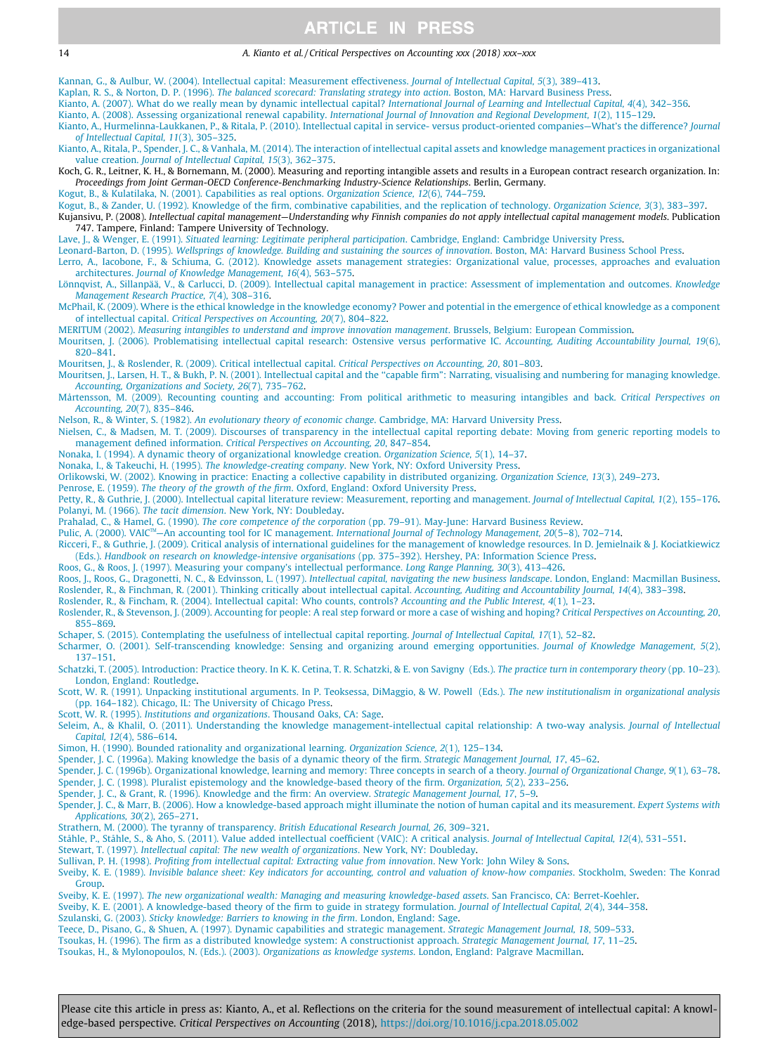[Kannan, G., & Aulbur, W. \(2004\). Intellectual capital: Measurement effectiveness.](http://refhub.elsevier.com/S1045-2354(18)30157-6/h0305) Journal of Intellectual Capital, 5(3), 389–413.

Kaplan, R. S., & Norton, D. P. (1996). [The balanced scorecard: Translating strategy into action](http://refhub.elsevier.com/S1045-2354(18)30157-6/h0310). Boston, MA: Harvard Business Press.

[Kianto, A. \(2007\). What do we really mean by dynamic intellectual capital?](http://refhub.elsevier.com/S1045-2354(18)30157-6/h0315) International Journal of Learning and Intellectual Capital, 4(4), 342–356.

[Kianto, A. \(2008\). Assessing organizational renewal capability.](http://refhub.elsevier.com/S1045-2354(18)30157-6/h0320) International Journal of Innovation and Regional Development, 1(2), 115–129.

[Kianto, A., Hurmelinna-Laukkanen, P., & Ritala, P. \(2010\). Intellectual capital in service- versus product-oriented companies—What's the difference?](http://refhub.elsevier.com/S1045-2354(18)30157-6/h0325) Journal [of Intellectual Capital, 11](http://refhub.elsevier.com/S1045-2354(18)30157-6/h0325)(3), 305–325.

[Kianto, A., Ritala, P., Spender, J. C., & Vanhala, M. \(2014\). The interaction of intellectual capital assets and knowledge management practices in organizational](http://refhub.elsevier.com/S1045-2354(18)30157-6/h0330) value creation. [Journal of Intellectual Capital, 15](http://refhub.elsevier.com/S1045-2354(18)30157-6/h0330)(3), 362–375.

Koch, G. R., Leitner, K. H., & Bornemann, M. (2000). Measuring and reporting intangible assets and results in a European contract research organization. In: Proceedings from Joint German-OECD Conference-Benchmarking Industry-Science Relationships. Berlin, Germany.

[Kogut, B., & Kulatilaka, N. \(2001\). Capabilities as real options.](http://refhub.elsevier.com/S1045-2354(18)30157-6/h0340) Organization Science, 12(6), 744–759.

[Kogut, B., & Zander, U. \(1992\). Knowledge of the firm, combinative capabilities, and the replication of technology.](http://refhub.elsevier.com/S1045-2354(18)30157-6/h0345) Organization Science, 3(3), 383–397.

Kujansivu, P. (2008). Intellectual capital management—Understanding why Finnish companies do not apply intellectual capital management models. Publication 747. Tampere, Finland: Tampere University of Technology.

Lave, J., & Wenger, E. (1991). [Situated learning: Legitimate peripheral participation](http://refhub.elsevier.com/S1045-2354(18)30157-6/h0360). Cambridge, England: Cambridge University Press.

Leonard-Barton, D. (1995). [Wellsprings of knowledge. Building and sustaining the sources of innovation](http://refhub.elsevier.com/S1045-2354(18)30157-6/h0365). Boston, MA: Harvard Business School Press.

[Lerro, A., Iacobone, F., & Schiuma, G. \(2012\). Knowledge assets management strategies: Organizational value, processes, approaches and evaluation](http://refhub.elsevier.com/S1045-2354(18)30157-6/h0370) architectures. [Journal of Knowledge Management, 16](http://refhub.elsevier.com/S1045-2354(18)30157-6/h0370)(4), 563–575.

[Lönnqvist, A., Sillanpää, V., & Carlucci, D. \(2009\). Intellectual capital management in practice: Assessment of implementation and outcomes.](http://refhub.elsevier.com/S1045-2354(18)30157-6/h0375) Knowledge [Management Research Practice, 7](http://refhub.elsevier.com/S1045-2354(18)30157-6/h0375)(4), 308–316.

[McPhail, K. \(2009\). Where is the ethical knowledge in the knowledge economy? Power and potential in the emergence of ethical knowledge as a component](http://refhub.elsevier.com/S1045-2354(18)30157-6/h0380) of intellectual capital. [Critical Perspectives on Accounting, 20](http://refhub.elsevier.com/S1045-2354(18)30157-6/h0380)(7), 804–822.

MERITUM (2002). [Measuring intangibles to understand and improve innovation management](http://refhub.elsevier.com/S1045-2354(18)30157-6/h0385). Brussels, Belgium: European Commission.

[Mouritsen, J. \(2006\). Problematising intellectual capital research: Ostensive versus performative IC.](http://refhub.elsevier.com/S1045-2354(18)30157-6/h0390) Accounting, Auditing Accountability Journal, 19(6), [820–841.](http://refhub.elsevier.com/S1045-2354(18)30157-6/h0390)

[Mouritsen, J., & Roslender, R. \(2009\). Critical intellectual capital.](http://refhub.elsevier.com/S1045-2354(18)30157-6/h0395) Critical Perspectives on Accounting, 20, 801–803.

[Mouritsen, J., Larsen, H. T., & Bukh, P. N. \(2001\). Intellectual capital and the ''capable firm": Narrating, visualising and numbering for managing knowledge.](http://refhub.elsevier.com/S1045-2354(18)30157-6/h0400) [Accounting, Organizations and Society, 26](http://refhub.elsevier.com/S1045-2354(18)30157-6/h0400)(7), 735–762.

[Mårtensson, M. \(2009\). Recounting counting and accounting: From political arithmetic to measuring intangibles and back.](http://refhub.elsevier.com/S1045-2354(18)30157-6/h0405) Critical Perspectives on [Accounting, 20](http://refhub.elsevier.com/S1045-2354(18)30157-6/h0405)(7), 835–846.

Nelson, R., & Winter, S. (1982). An evolutionary theory of economic change[. Cambridge, MA: Harvard University Press](http://refhub.elsevier.com/S1045-2354(18)30157-6/h0410).

[Nielsen, C., & Madsen, M. T. \(2009\). Discourses of transparency in the intellectual capital reporting debate: Moving from generic reporting models to](http://refhub.elsevier.com/S1045-2354(18)30157-6/h0415) management defined information. [Critical Perspectives on Accounting, 20](http://refhub.elsevier.com/S1045-2354(18)30157-6/h0415), 847–854.

[Nonaka, I. \(1994\). A dynamic theory of organizational knowledge creation.](http://refhub.elsevier.com/S1045-2354(18)30157-6/h0420) Organization Science, 5(1), 14–37.

Nonaka, I., & Takeuchi, H. (1995). The knowledge-creating company[. New York, NY: Oxford University Press.](http://refhub.elsevier.com/S1045-2354(18)30157-6/h0425)

[Orlikowski, W. \(2002\). Knowing in practice: Enacting a collective capability in distributed organizing.](http://refhub.elsevier.com/S1045-2354(18)30157-6/h0430) Organization Science, 13(3), 249–273.

Penrose, E. (1959). The theory of the growth of the firm[. Oxford, England: Oxford University Press.](http://refhub.elsevier.com/S1045-2354(18)30157-6/h0435)

[Petty, R., & Guthrie, J. \(2000\). Intellectual capital literature review: Measurement, reporting and management.](http://refhub.elsevier.com/S1045-2354(18)30157-6/h0440) Journal of Intellectual Capital, 1(2), 155-176. Polanyi, M. (1966). The tacit dimension[. New York, NY: Doubleday.](http://refhub.elsevier.com/S1045-2354(18)30157-6/h0445)

Prahalad, C., & Hamel, G. (1990). The core competence of the corporation [\(pp. 79–91\). May-June: Harvard Business Review](http://refhub.elsevier.com/S1045-2354(18)30157-6/h0450).

Pulic, A. (2000). VAIC<sup>TM</sup>-An accounting tool for IC management. [International Journal of Technology Management, 20](http://refhub.elsevier.com/S1045-2354(18)30157-6/h0455)(5-8), 702-714.

[Ricceri, F., & Guthrie, J. \(2009\). Critical analysis of international guidelines for the management of knowledge resources. In D. Jemielnaik & J. Kociatkiewicz](http://refhub.elsevier.com/S1045-2354(18)30157-6/h0460) (Eds.). [Handbook on research on knowledge-intensive organisations](http://refhub.elsevier.com/S1045-2354(18)30157-6/h0460) (pp. 375–392). Hershey, PA: Information Science Press.

[Roos, G., & Roos, J. \(1997\). Measuring your company's intellectual performance.](http://refhub.elsevier.com/S1045-2354(18)30157-6/h0465) Long Range Planning, 30(3), 413–426.

[Roos, J., Roos, G., Dragonetti, N. C., & Edvinsson, L. \(1997\).](http://refhub.elsevier.com/S1045-2354(18)30157-6/h0470) Intellectual capital, navigating the new business landscape. London, England: Macmillan Business. [Roslender, R., & Finchman, R. \(2001\). Thinking critically about intellectual capital.](http://refhub.elsevier.com/S1045-2354(18)30157-6/h0475) Accounting, Auditing and Accountability Journal, 14(4), 383–398.

[Roslender, R., & Fincham, R. \(2004\). Intellectual capital: Who counts, controls?](http://refhub.elsevier.com/S1045-2354(18)30157-6/h0480) Accounting and the Public Interest, 4(1), 1–23.

[Roslender, R., & Stevenson, J. \(2009\). Accounting for people: A real step forward or more a case of wishing and hoping?](http://refhub.elsevier.com/S1045-2354(18)30157-6/h0485) Critical Perspectives on Accounting, 20, [855–869.](http://refhub.elsevier.com/S1045-2354(18)30157-6/h0485)

[Schaper, S. \(2015\). Contemplating the usefulness of intellectual capital reporting.](http://refhub.elsevier.com/S1045-2354(18)30157-6/h0490) Journal of Intellectual Capital, 17(1), 52–82.

[Scharmer, O. \(2001\). Self-transcending knowledge: Sensing and organizing around emerging opportunities.](http://refhub.elsevier.com/S1045-2354(18)30157-6/h0495) Journal of Knowledge Management, 5(2), [137–151.](http://refhub.elsevier.com/S1045-2354(18)30157-6/h0495)

[Schatzki, T. \(2005\). Introduction: Practice theory. In K. K. Cetina, T. R. Schatzki, & E. von Savigny \(Eds.\).](http://refhub.elsevier.com/S1045-2354(18)30157-6/h0500) The practice turn in contemporary theory (pp. 10-23). [London, England: Routledge](http://refhub.elsevier.com/S1045-2354(18)30157-6/h0500).

[Scott, W. R. \(1991\). Unpacking institutional arguments. In P. Teoksessa, DiMaggio, & W. Powell \(Eds.\).](http://refhub.elsevier.com/S1045-2354(18)30157-6/h0510) The new institutionalism in organizational analysis [\(pp. 164–182\). Chicago, IL: The University of Chicago Press.](http://refhub.elsevier.com/S1045-2354(18)30157-6/h0510)

Scott, W. R. (1995). [Institutions and organizations](http://refhub.elsevier.com/S1045-2354(18)30157-6/h0515). Thousand Oaks, CA: Sage.

[Seleim, A., & Khalil, O. \(2011\). Understanding the knowledge management-intellectual capital relationship: A two-way analysis.](http://refhub.elsevier.com/S1045-2354(18)30157-6/h0520) Journal of Intellectual Capital, 12[\(4\), 586–614](http://refhub.elsevier.com/S1045-2354(18)30157-6/h0520).

[Simon, H. \(1990\). Bounded rationality and organizational learning.](http://refhub.elsevier.com/S1045-2354(18)30157-6/h0525) Organization Science, 2(1), 125–134.

[Spender, J. C. \(1996a\). Making knowledge the basis of a dynamic theory of the firm.](http://refhub.elsevier.com/S1045-2354(18)30157-6/h0530) Strategic Management Journal, 17, 45–62.

[Spender, J. C. \(1996b\). Organizational knowledge, learning and memory: Three concepts in search of a theory.](http://refhub.elsevier.com/S1045-2354(18)30157-6/h0535) Journal of Organizational Change, 9(1), 63–78. [Spender, J. C. \(1998\). Pluralist epistemology and the knowledge-based theory of the firm.](http://refhub.elsevier.com/S1045-2354(18)30157-6/h0540) Organization, 5(2), 233–256.

[Spender, J. C., & Grant, R. \(1996\). Knowledge and the firm: An overview.](http://refhub.elsevier.com/S1045-2354(18)30157-6/h0545) Strategic Management Journal, 17, 5–9.

[Spender, J. C., & Marr, B. \(2006\). How a knowledge-based approach might illuminate the notion of human capital and its measurement.](http://refhub.elsevier.com/S1045-2354(18)30157-6/h0550) Expert Systems with [Applications, 30](http://refhub.elsevier.com/S1045-2354(18)30157-6/h0550)(2), 265–271.

[Strathern, M. \(2000\). The tyranny of transparency.](http://refhub.elsevier.com/S1045-2354(18)30157-6/h0555) British Educational Research Journal, 26, 309–321.

[Ståhle, P., Ståhle, S., & Aho, S. \(2011\). Value added intellectual coefficient \(VAIC\): A critical analysis.](http://refhub.elsevier.com/S1045-2354(18)30157-6/h0560) Journal of Intellectual Capital, 12(4), 531–551.

Stewart, T. (1997). [Intellectual capital: The new wealth of organizations](http://refhub.elsevier.com/S1045-2354(18)30157-6/h0565). New York, NY: Doubleday.

Sullivan, P. H. (1998). [Profiting from intellectual capital: Extracting value from innovation](http://refhub.elsevier.com/S1045-2354(18)30157-6/h0570). New York: John Wiley & Sons.

Sveiby, K. E. (1989). [Invisible balance sheet: Key indicators for accounting, control and valuation of know-how companies](http://refhub.elsevier.com/S1045-2354(18)30157-6/h0575). Stockholm, Sweden: The Konrad [Group.](http://refhub.elsevier.com/S1045-2354(18)30157-6/h0575)

Sveiby, K. E. (1997). [The new organizational wealth: Managing and measuring knowledge-based assets](http://refhub.elsevier.com/S1045-2354(18)30157-6/h0580). San Francisco, CA: Berret-Koehler.

[Sveiby, K. E. \(2001\). A knowledge-based theory of the firm to guide in strategy formulation.](http://refhub.elsevier.com/S1045-2354(18)30157-6/h0585) Journal of Intellectual Capital, 2(4), 344–358.

Szulanski, G. (2003). [Sticky knowledge: Barriers to knowing in the firm](http://refhub.elsevier.com/S1045-2354(18)30157-6/h0590). London, England: Sage.

[Teece, D., Pisano, G., & Shuen, A. \(1997\). Dynamic capabilities and strategic management.](http://refhub.elsevier.com/S1045-2354(18)30157-6/h0595) Strategic Management Journal, 18, 509–533.

[Tsoukas, H. \(1996\). The firm as a distributed knowledge system: A constructionist approach.](http://refhub.elsevier.com/S1045-2354(18)30157-6/h0600) Strategic Management Journal, 17, 11–25.

[Tsoukas, H., & Mylonopoulos, N. \(Eds.\). \(2003\).](http://refhub.elsevier.com/S1045-2354(18)30157-6/h0605) Organizations as knowledge systems. London, England: Palgrave Macmillan.

<span id="page-13-0"></span>